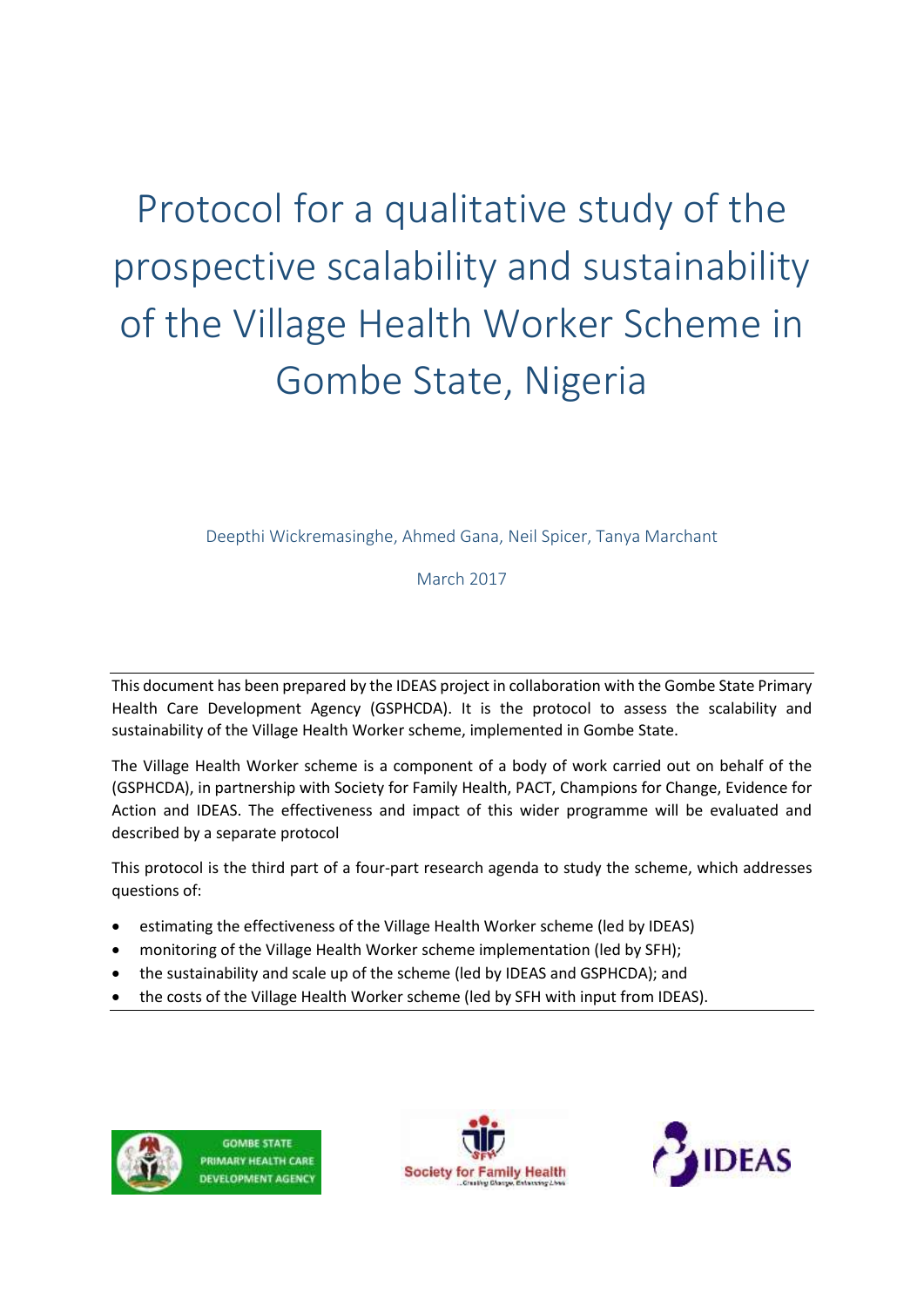Protocol for a qualitative study of the prospective scalability and sustainability of the Village Health Worker Scheme in Gombe State, Nigeria

Deepthi Wickremasinghe, Ahmed Gana, Neil Spicer, Tanya Marchant

March 2017

This document has been prepared by the IDEAS project in collaboration with the Gombe State Primary Health Care Development Agency (GSPHCDA). It is the protocol to assess the scalability and sustainability of the Village Health Worker scheme, implemented in Gombe State.

The Village Health Worker scheme is a component of a body of work carried out on behalf of the (GSPHCDA), in partnership with Society for Family Health, PACT, Champions for Change, Evidence for Action and IDEAS. The effectiveness and impact of this wider programme will be evaluated and described by a separate protocol

This protocol is the third part of a four-part research agenda to study the scheme, which addresses questions of:

- estimating the effectiveness of the Village Health Worker scheme (led by IDEAS)
- monitoring of the Village Health Worker scheme implementation (led by SFH);
- the sustainability and scale up of the scheme (led by IDEAS and GSPHCDA); and
- the costs of the Village Health Worker scheme (led by SFH with input from IDEAS).

**GOMBE STATE: PRIMARY HEALTH CARE** DEVELOPMENT AGENCY



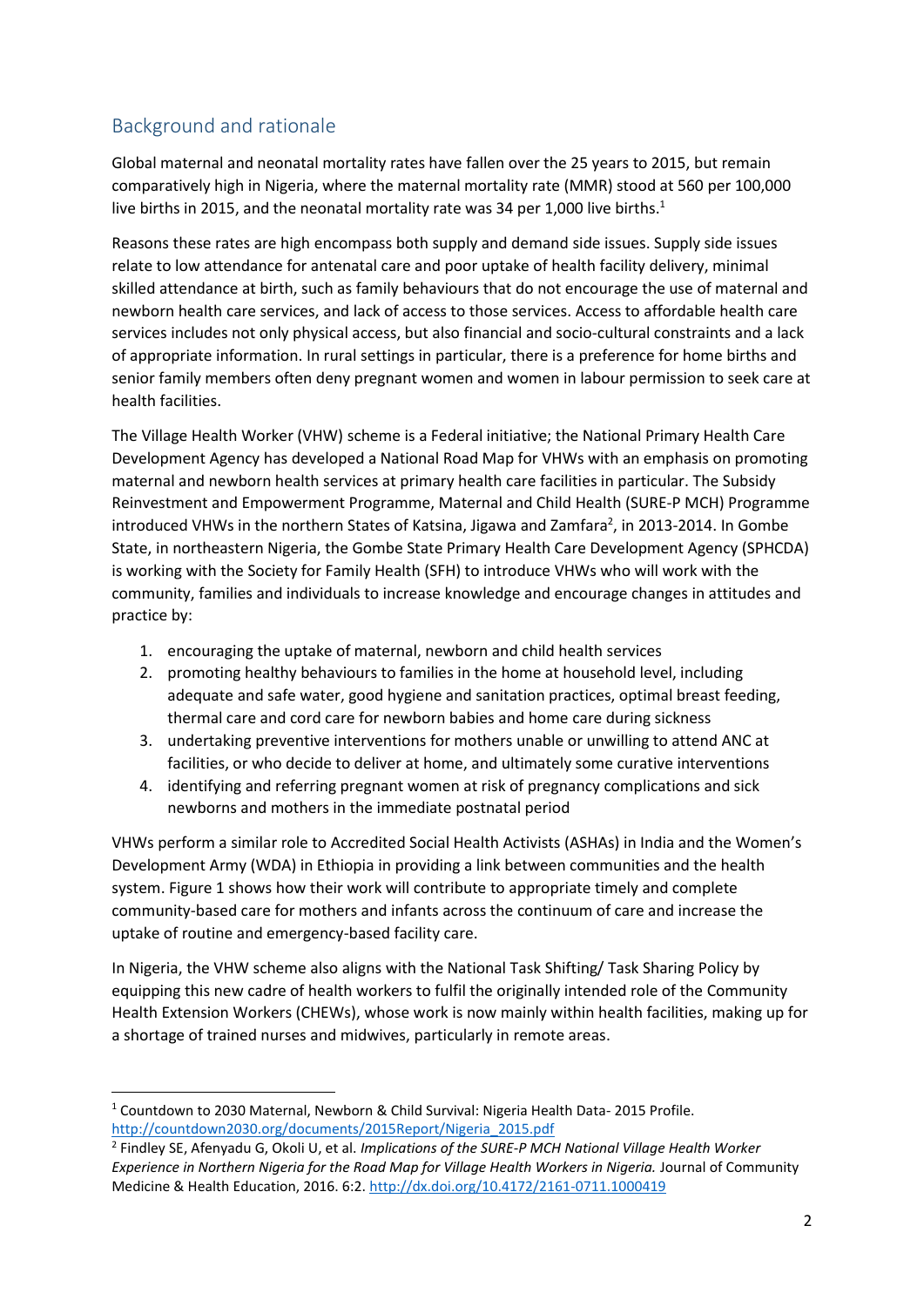## Background and rationale

Global maternal and neonatal mortality rates have fallen over the 25 years to 2015, but remain comparatively high in Nigeria, where the maternal mortality rate (MMR) stood at 560 per 100,000 live births in 2015, and the neonatal mortality rate was 34 per 1,000 live births. 1

Reasons these rates are high encompass both supply and demand side issues. Supply side issues relate to low attendance for antenatal care and poor uptake of health facility delivery, minimal skilled attendance at birth, such as family behaviours that do not encourage the use of maternal and newborn health care services, and lack of access to those services. Access to affordable health care services includes not only physical access, but also financial and socio-cultural constraints and a lack of appropriate information. In rural settings in particular, there is a preference for home births and senior family members often deny pregnant women and women in labour permission to seek care at health facilities.

The Village Health Worker (VHW) scheme is a Federal initiative; the National Primary Health Care Development Agency has developed a National Road Map for VHWs with an emphasis on promoting maternal and newborn health services at primary health care facilities in particular. The Subsidy Reinvestment and Empowerment Programme, Maternal and Child Health (SURE-P MCH) Programme introduced VHWs in the northern States of Katsina, Jigawa and Zamfara<sup>2</sup>, in 2013-2014. In Gombe State, in northeastern Nigeria, the Gombe State Primary Health Care Development Agency (SPHCDA) is working with the Society for Family Health (SFH) to introduce VHWs who will work with the community, families and individuals to increase knowledge and encourage changes in attitudes and practice by:

- 1. encouraging the uptake of maternal, newborn and child health services
- 2. promoting healthy behaviours to families in the home at household level, including adequate and safe water, good hygiene and sanitation practices, optimal breast feeding, thermal care and cord care for newborn babies and home care during sickness
- 3. undertaking preventive interventions for mothers unable or unwilling to attend ANC at facilities, or who decide to deliver at home, and ultimately some curative interventions
- 4. identifying and referring pregnant women at risk of pregnancy complications and sick newborns and mothers in the immediate postnatal period

VHWs perform a similar role to Accredited Social Health Activists (ASHAs) in India and the Women's Development Army (WDA) in Ethiopia in providing a link between communities and the health system. Figure 1 shows how their work will contribute to appropriate timely and complete community-based care for mothers and infants across the continuum of care and increase the uptake of routine and emergency-based facility care.

In Nigeria, the VHW scheme also aligns with the National Task Shifting/ Task Sharing Policy by equipping this new cadre of health workers to fulfil the originally intended role of the Community Health Extension Workers (CHEWs), whose work is now mainly within health facilities, making up for a shortage of trained nurses and midwives, particularly in remote areas.

**<sup>.</sup>** <sup>1</sup> Countdown to 2030 Maternal, Newborn & Child Survival: Nigeria Health Data- 2015 Profile. [http://countdown2030.org/documents/2015Report/Nigeria\\_2015.pdf](http://countdown2030.org/documents/2015Report/Nigeria_2015.pdf)

<sup>2</sup> Findley SE, Afenyadu G, Okoli U, et al. *Implications of the SURE-P MCH National Village Health Worker Experience in Northern Nigeria for the Road Map for Village Health Workers in Nigeria.* Journal of Community Medicine & Health Education, 2016. 6:2.<http://dx.doi.org/10.4172/2161-0711.1000419>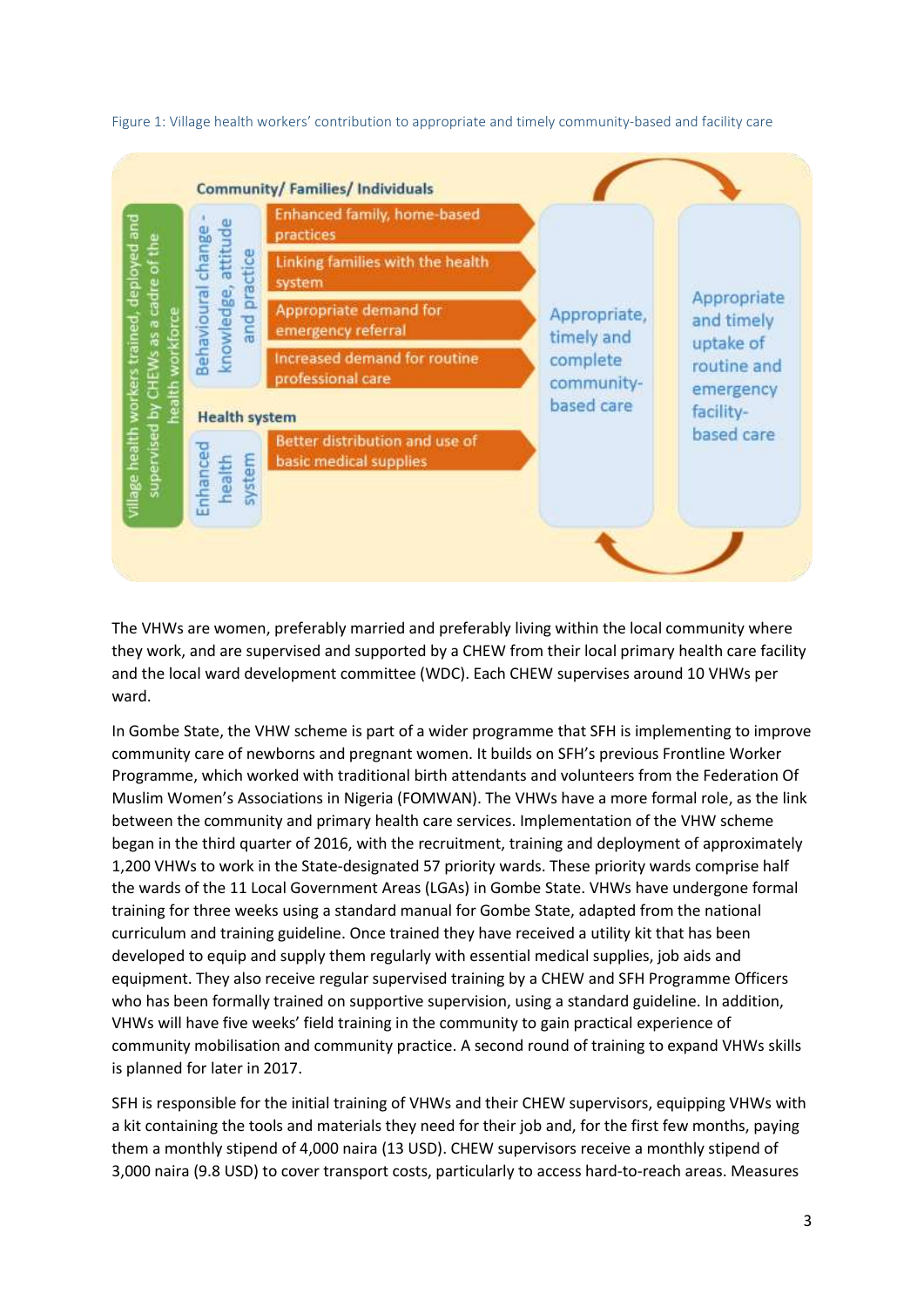

Figure 1: Village health workers' contribution to appropriate and timely community-based and facility care

The VHWs are women, preferably married and preferably living within the local community where they work, and are supervised and supported by a CHEW from their local primary health care facility and the local ward development committee (WDC). Each CHEW supervises around 10 VHWs per ward.

In Gombe State, the VHW scheme is part of a wider programme that SFH is implementing to improve community care of newborns and pregnant women. It builds on SFH's previous Frontline Worker Programme, which worked with traditional birth attendants and volunteers from the Federation Of Muslim Women's Associations in Nigeria (FOMWAN). The VHWs have a more formal role, as the link between the community and primary health care services. Implementation of the VHW scheme began in the third quarter of 2016, with the recruitment, training and deployment of approximately 1,200 VHWs to work in the State-designated 57 priority wards. These priority wards comprise half the wards of the 11 Local Government Areas (LGAs) in Gombe State. VHWs have undergone formal training for three weeks using a standard manual for Gombe State, adapted from the national curriculum and training guideline. Once trained they have received a utility kit that has been developed to equip and supply them regularly with essential medical supplies, job aids and equipment. They also receive regular supervised training by a CHEW and SFH Programme Officers who has been formally trained on supportive supervision, using a standard guideline. In addition, VHWs will have five weeks' field training in the community to gain practical experience of community mobilisation and community practice. A second round of training to expand VHWs skills is planned for later in 2017.

SFH is responsible for the initial training of VHWs and their CHEW supervisors, equipping VHWs with a kit containing the tools and materials they need for their job and, for the first few months, paying them a monthly stipend of 4,000 naira (13 USD). CHEW supervisors receive a monthly stipend of 3,000 naira (9.8 USD) to cover transport costs, particularly to access hard-to-reach areas. Measures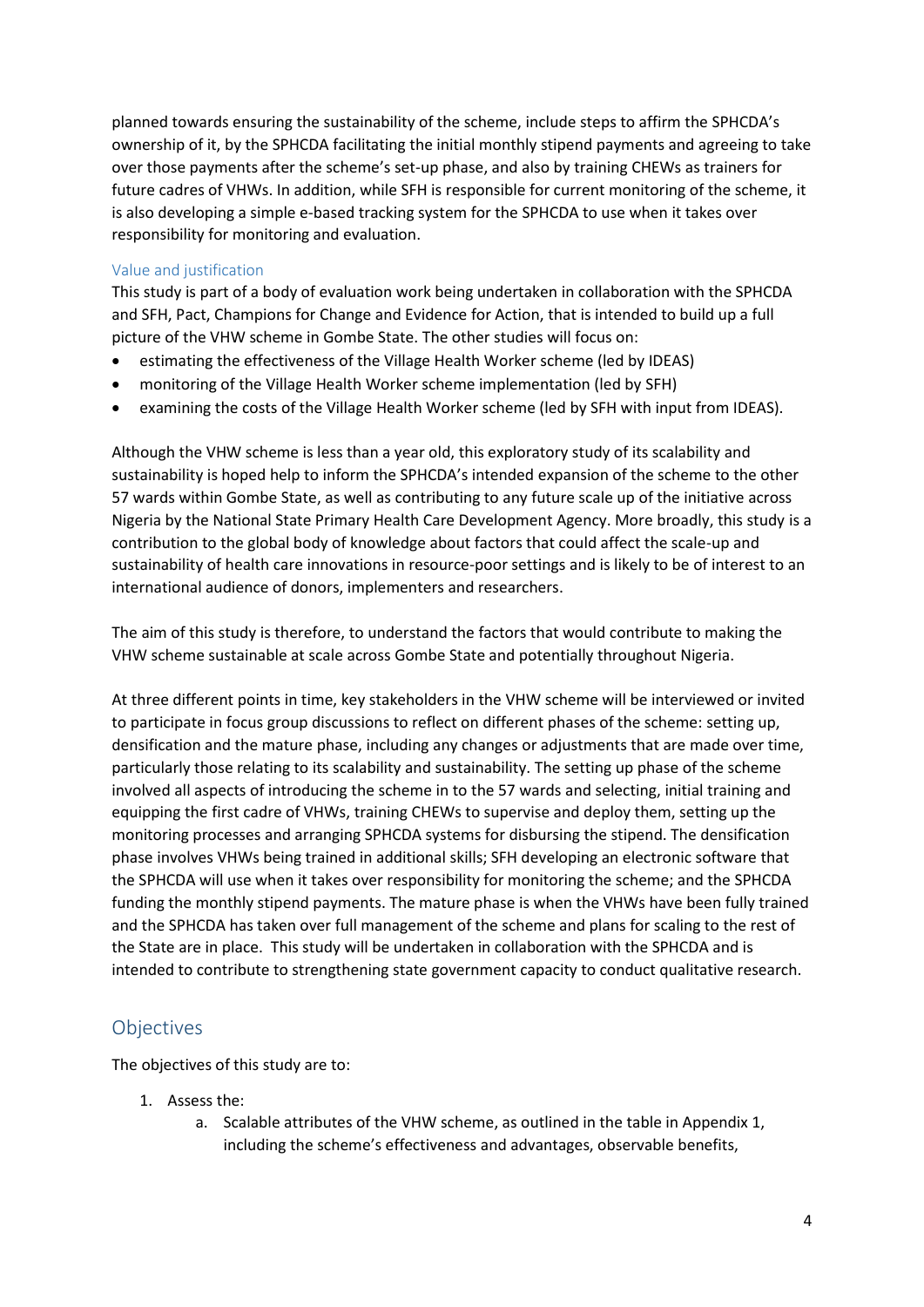planned towards ensuring the sustainability of the scheme, include steps to affirm the SPHCDA's ownership of it, by the SPHCDA facilitating the initial monthly stipend payments and agreeing to take over those payments after the scheme's set-up phase, and also by training CHEWs as trainers for future cadres of VHWs. In addition, while SFH is responsible for current monitoring of the scheme, it is also developing a simple e-based tracking system for the SPHCDA to use when it takes over responsibility for monitoring and evaluation.

#### Value and justification

This study is part of a body of evaluation work being undertaken in collaboration with the SPHCDA and SFH, Pact, Champions for Change and Evidence for Action, that is intended to build up a full picture of the VHW scheme in Gombe State. The other studies will focus on:

- estimating the effectiveness of the Village Health Worker scheme (led by IDEAS)
- monitoring of the Village Health Worker scheme implementation (led by SFH)
- examining the costs of the Village Health Worker scheme (led by SFH with input from IDEAS).

Although the VHW scheme is less than a year old, this exploratory study of its scalability and sustainability is hoped help to inform the SPHCDA's intended expansion of the scheme to the other 57 wards within Gombe State, as well as contributing to any future scale up of the initiative across Nigeria by the National State Primary Health Care Development Agency. More broadly, this study is a contribution to the global body of knowledge about factors that could affect the scale-up and sustainability of health care innovations in resource-poor settings and is likely to be of interest to an international audience of donors, implementers and researchers.

The aim of this study is therefore, to understand the factors that would contribute to making the VHW scheme sustainable at scale across Gombe State and potentially throughout Nigeria.

At three different points in time, key stakeholders in the VHW scheme will be interviewed or invited to participate in focus group discussions to reflect on different phases of the scheme: setting up, densification and the mature phase, including any changes or adjustments that are made over time, particularly those relating to its scalability and sustainability. The setting up phase of the scheme involved all aspects of introducing the scheme in to the 57 wards and selecting, initial training and equipping the first cadre of VHWs, training CHEWs to supervise and deploy them, setting up the monitoring processes and arranging SPHCDA systems for disbursing the stipend. The densification phase involves VHWs being trained in additional skills; SFH developing an electronic software that the SPHCDA will use when it takes over responsibility for monitoring the scheme; and the SPHCDA funding the monthly stipend payments. The mature phase is when the VHWs have been fully trained and the SPHCDA has taken over full management of the scheme and plans for scaling to the rest of the State are in place. This study will be undertaken in collaboration with the SPHCDA and is intended to contribute to strengthening state government capacity to conduct qualitative research.

### **Objectives**

The objectives of this study are to:

- 1. Assess the:
	- a. Scalable attributes of the VHW scheme, as outlined in the table in Appendix 1, including the scheme's effectiveness and advantages, observable benefits,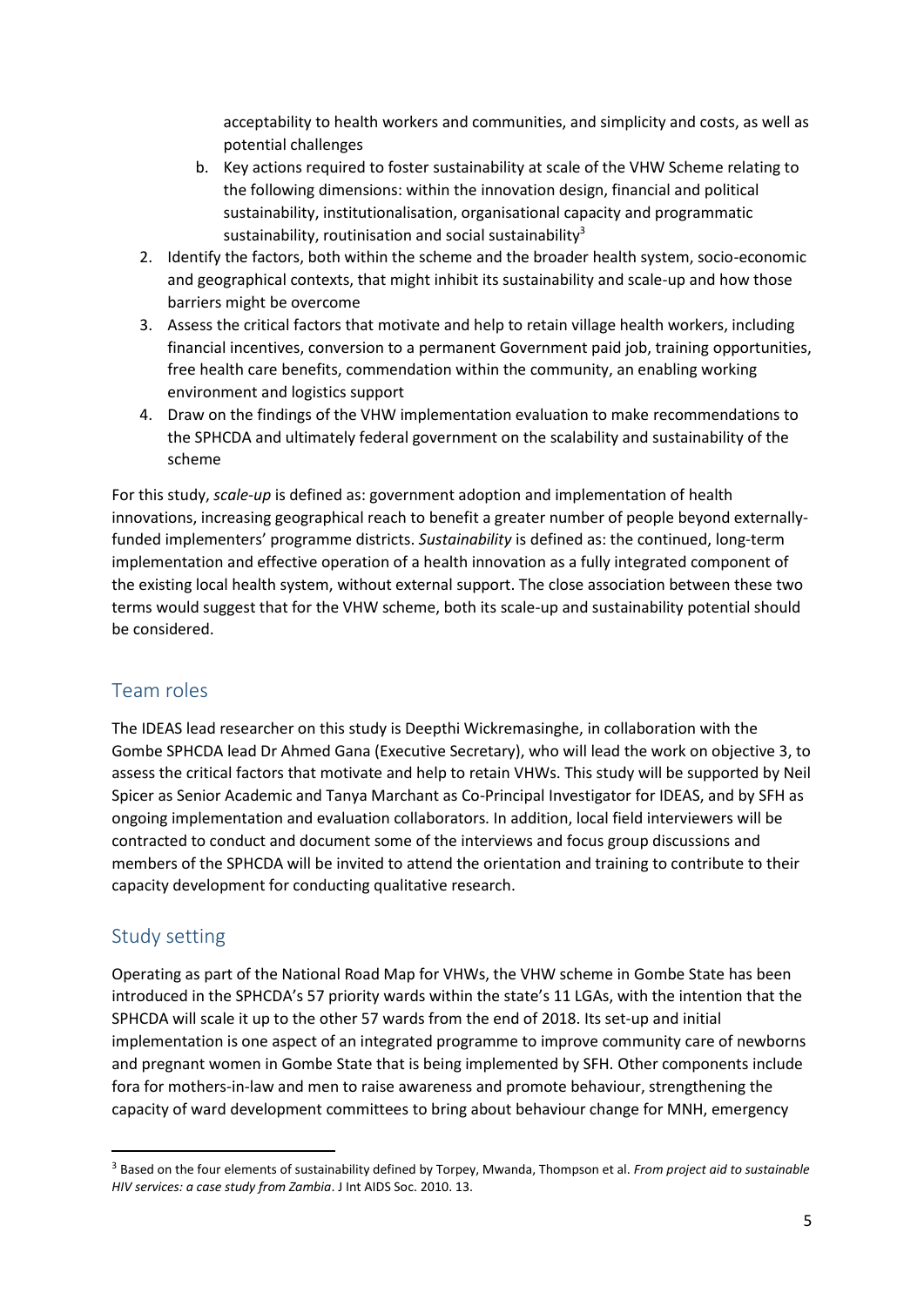acceptability to health workers and communities, and simplicity and costs, as well as potential challenges

- b. Key actions required to foster sustainability at scale of the VHW Scheme relating to the following dimensions: within the innovation design, financial and political sustainability, institutionalisation, organisational capacity and programmatic sustainability, routinisation and social sustainability<sup>3</sup>
- 2. Identify the factors, both within the scheme and the broader health system, socio-economic and geographical contexts, that might inhibit its sustainability and scale-up and how those barriers might be overcome
- 3. Assess the critical factors that motivate and help to retain village health workers, including financial incentives, conversion to a permanent Government paid job, training opportunities, free health care benefits, commendation within the community, an enabling working environment and logistics support
- 4. Draw on the findings of the VHW implementation evaluation to make recommendations to the SPHCDA and ultimately federal government on the scalability and sustainability of the scheme

For this study, *scale-up* is defined as: government adoption and implementation of health innovations, increasing geographical reach to benefit a greater number of people beyond externallyfunded implementers' programme districts. *Sustainability* is defined as: the continued, long-term implementation and effective operation of a health innovation as a fully integrated component of the existing local health system, without external support. The close association between these two terms would suggest that for the VHW scheme, both its scale-up and sustainability potential should be considered.

## Team roles

The IDEAS lead researcher on this study is Deepthi Wickremasinghe, in collaboration with the Gombe SPHCDA lead Dr Ahmed Gana (Executive Secretary), who will lead the work on objective 3, to assess the critical factors that motivate and help to retain VHWs. This study will be supported by Neil Spicer as Senior Academic and Tanya Marchant as Co-Principal Investigator for IDEAS, and by SFH as ongoing implementation and evaluation collaborators. In addition, local field interviewers will be contracted to conduct and document some of the interviews and focus group discussions and members of the SPHCDA will be invited to attend the orientation and training to contribute to their capacity development for conducting qualitative research.

## Study setting

**.** 

Operating as part of the National Road Map for VHWs, the VHW scheme in Gombe State has been introduced in the SPHCDA's 57 priority wards within the state's 11 LGAs, with the intention that the SPHCDA will scale it up to the other 57 wards from the end of 2018. Its set-up and initial implementation is one aspect of an integrated programme to improve community care of newborns and pregnant women in Gombe State that is being implemented by SFH. Other components include fora for mothers-in-law and men to raise awareness and promote behaviour, strengthening the capacity of ward development committees to bring about behaviour change for MNH, emergency

<sup>3</sup> Based on the four elements of sustainability defined by Torpey, Mwanda, Thompson et al. *From project aid to sustainable HIV services: a case study from Zambia*. J Int AIDS Soc. 2010. 13.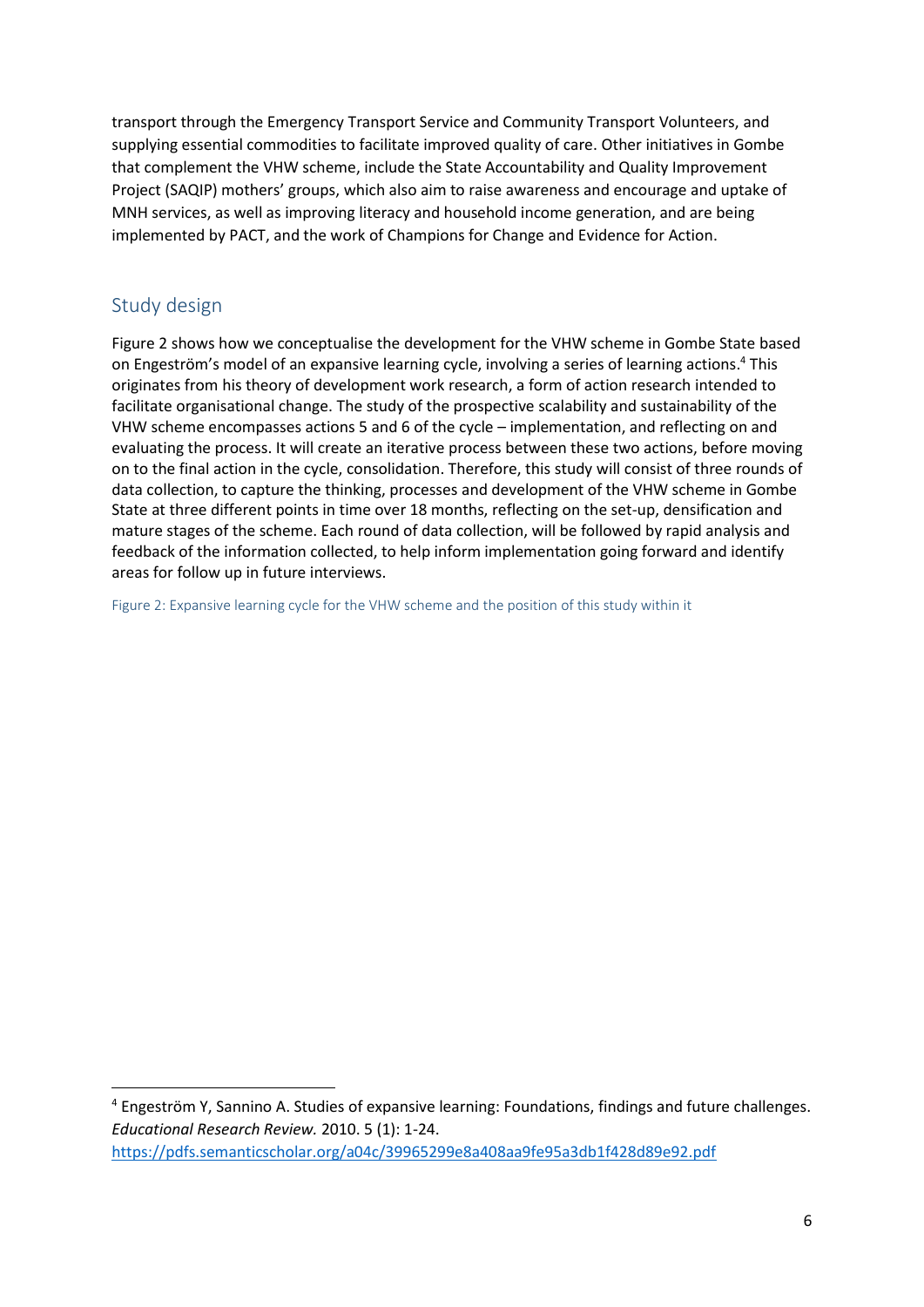transport through the Emergency Transport Service and Community Transport Volunteers, and supplying essential commodities to facilitate improved quality of care. Other initiatives in Gombe that complement the VHW scheme, include the State Accountability and Quality Improvement Project (SAQIP) mothers' groups, which also aim to raise awareness and encourage and uptake of MNH services, as well as improving literacy and household income generation, and are being implemented by PACT, and the work of Champions for Change and Evidence for Action.

## Study design

**.** 

Figure 2 shows how we conceptualise the development for the VHW scheme in Gombe State based on Engeström's model of an expansive learning cycle, involving a series of learning actions. <sup>4</sup> This originates from his theory of development work research, a form of action research intended to facilitate organisational change. The study of the prospective scalability and sustainability of the VHW scheme encompasses actions 5 and 6 of the cycle – implementation, and reflecting on and evaluating the process. It will create an iterative process between these two actions, before moving on to the final action in the cycle, consolidation. Therefore, this study will consist of three rounds of data collection, to capture the thinking, processes and development of the VHW scheme in Gombe State at three different points in time over 18 months, reflecting on the set-up, densification and mature stages of the scheme. Each round of data collection, will be followed by rapid analysis and feedback of the information collected, to help inform implementation going forward and identify areas for follow up in future interviews.

Figure 2: Expansive learning cycle for the VHW scheme and the position of this study within it

<sup>4</sup> Engeström Y, Sannino A. Studies of expansive learning: Foundations, findings and future challenges. *Educational Research Review.* 2010. 5 (1): 1-24. <https://pdfs.semanticscholar.org/a04c/39965299e8a408aa9fe95a3db1f428d89e92.pdf>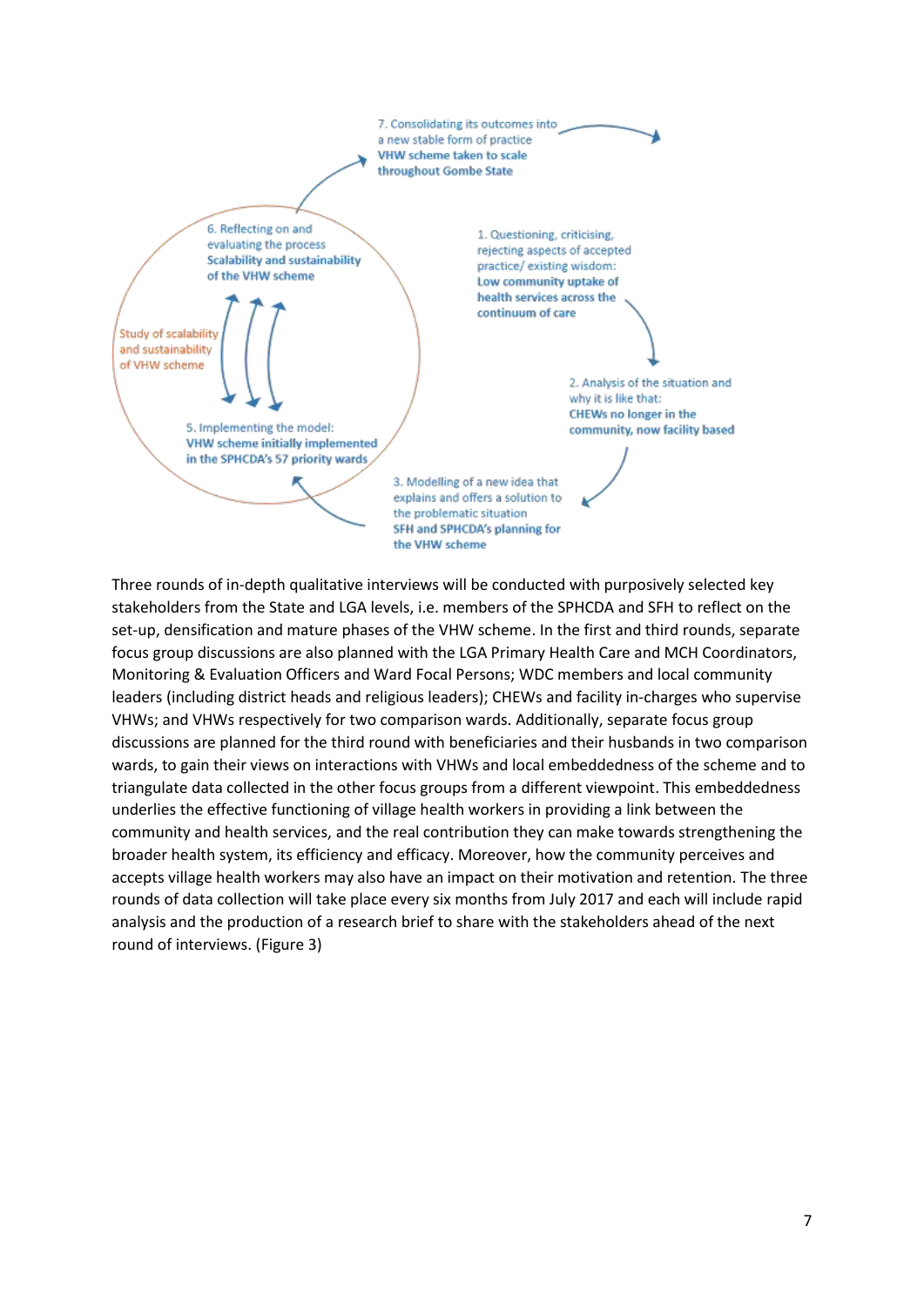

Three rounds of in-depth qualitative interviews will be conducted with purposively selected key stakeholders from the State and LGA levels, i.e. members of the SPHCDA and SFH to reflect on the set-up, densification and mature phases of the VHW scheme. In the first and third rounds, separate focus group discussions are also planned with the LGA Primary Health Care and MCH Coordinators, Monitoring & Evaluation Officers and Ward Focal Persons; WDC members and local community leaders (including district heads and religious leaders); CHEWs and facility in-charges who supervise VHWs; and VHWs respectively for two comparison wards. Additionally, separate focus group discussions are planned for the third round with beneficiaries and their husbands in two comparison wards, to gain their views on interactions with VHWs and local embeddedness of the scheme and to triangulate data collected in the other focus groups from a different viewpoint. This embeddedness underlies the effective functioning of village health workers in providing a link between the community and health services, and the real contribution they can make towards strengthening the broader health system, its efficiency and efficacy. Moreover, how the community perceives and accepts village health workers may also have an impact on their motivation and retention. The three rounds of data collection will take place every six months from July 2017 and each will include rapid analysis and the production of a research brief to share with the stakeholders ahead of the next round of interviews. (Figure 3)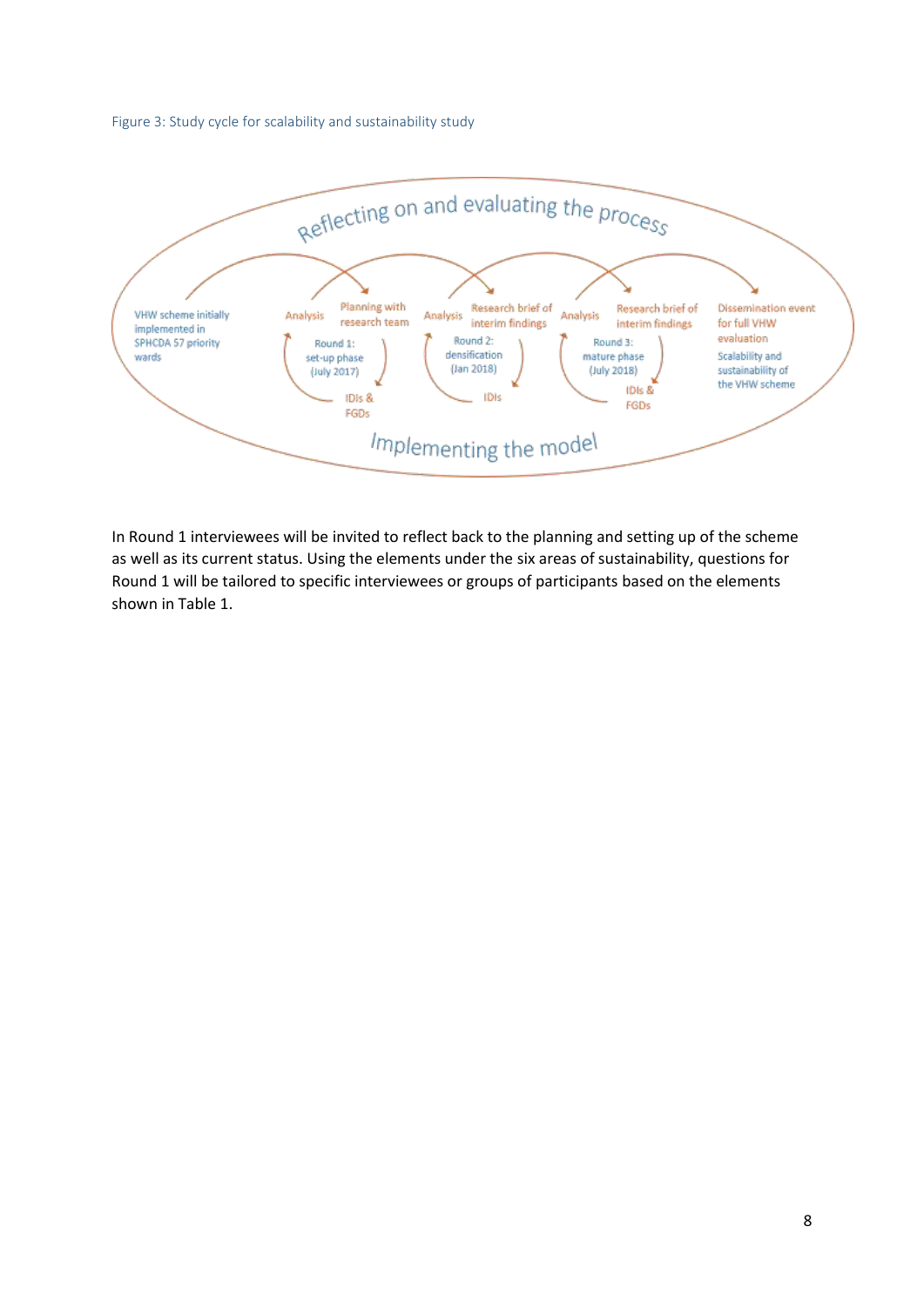Figure 3: Study cycle for scalability and sustainability study



In Round 1 interviewees will be invited to reflect back to the planning and setting up of the scheme as well as its current status. Using the elements under the six areas of sustainability, questions for Round 1 will be tailored to specific interviewees or groups of participants based on the elements shown in Table 1.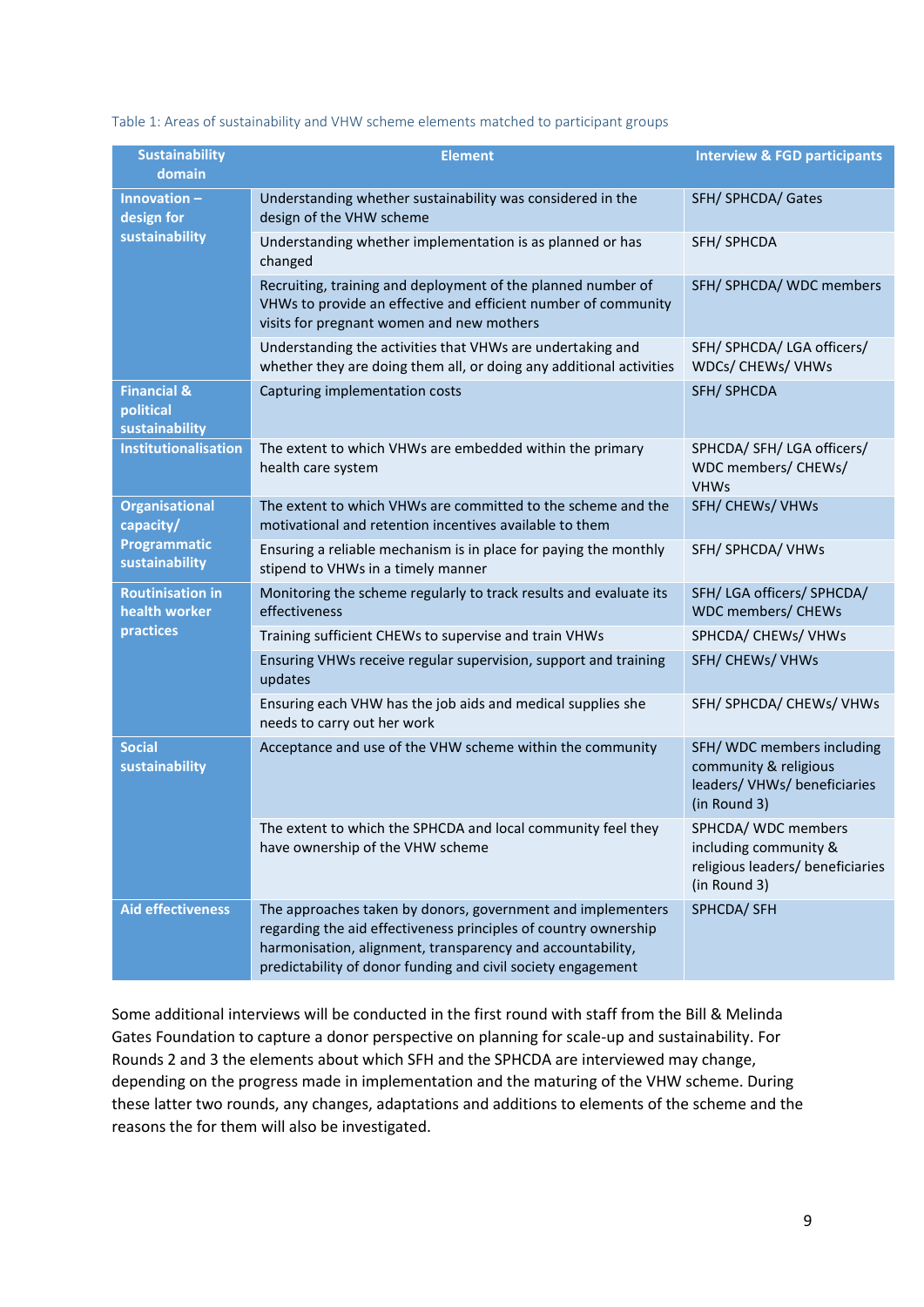| Table 1: Areas of sustainability and VHW scheme elements matched to participant groups |  |
|----------------------------------------------------------------------------------------|--|
|----------------------------------------------------------------------------------------|--|

| <b>Sustainability</b><br>domain                       | <b>Element</b>                                                                                                                                                                                                                                               | <b>Interview &amp; FGD participants</b>                                                          |
|-------------------------------------------------------|--------------------------------------------------------------------------------------------------------------------------------------------------------------------------------------------------------------------------------------------------------------|--------------------------------------------------------------------------------------------------|
| Innovation-<br>design for                             | Understanding whether sustainability was considered in the<br>design of the VHW scheme                                                                                                                                                                       | SFH/SPHCDA/Gates                                                                                 |
| sustainability                                        | Understanding whether implementation is as planned or has<br>changed                                                                                                                                                                                         | SFH/SPHCDA                                                                                       |
|                                                       | Recruiting, training and deployment of the planned number of<br>VHWs to provide an effective and efficient number of community<br>visits for pregnant women and new mothers                                                                                  | SFH/ SPHCDA/ WDC members                                                                         |
|                                                       | Understanding the activities that VHWs are undertaking and<br>whether they are doing them all, or doing any additional activities                                                                                                                            | SFH/ SPHCDA/ LGA officers/<br>WDCs/ CHEWs/ VHWs                                                  |
| <b>Financial &amp;</b><br>political<br>sustainability | Capturing implementation costs                                                                                                                                                                                                                               | SFH/SPHCDA                                                                                       |
| <b>Institutionalisation</b>                           | The extent to which VHWs are embedded within the primary<br>health care system                                                                                                                                                                               | SPHCDA/ SFH/ LGA officers/<br>WDC members/ CHEWs/<br><b>VHWs</b>                                 |
| <b>Organisational</b><br>capacity/                    | The extent to which VHWs are committed to the scheme and the<br>motivational and retention incentives available to them                                                                                                                                      | SFH/CHEWs/VHWs                                                                                   |
| <b>Programmatic</b><br>sustainability                 | Ensuring a reliable mechanism is in place for paying the monthly<br>stipend to VHWs in a timely manner                                                                                                                                                       | SFH/ SPHCDA/ VHWs                                                                                |
| <b>Routinisation in</b><br>health worker              | Monitoring the scheme regularly to track results and evaluate its<br>effectiveness                                                                                                                                                                           | SFH/LGA officers/SPHCDA/<br><b>WDC</b> members/ CHEWs                                            |
| practices                                             | Training sufficient CHEWs to supervise and train VHWs                                                                                                                                                                                                        | SPHCDA/ CHEWs/ VHWs                                                                              |
|                                                       | Ensuring VHWs receive regular supervision, support and training<br>updates                                                                                                                                                                                   | SFH/CHEWs/VHWs                                                                                   |
|                                                       | Ensuring each VHW has the job aids and medical supplies she<br>needs to carry out her work                                                                                                                                                                   | SFH/ SPHCDA/ CHEWs/ VHWs                                                                         |
| <b>Social</b><br>sustainability                       | Acceptance and use of the VHW scheme within the community                                                                                                                                                                                                    | SFH/WDC members including<br>community & religious<br>leaders/VHWs/beneficiaries<br>(in Round 3) |
|                                                       | The extent to which the SPHCDA and local community feel they<br>have ownership of the VHW scheme                                                                                                                                                             | SPHCDA/ WDC members<br>including community &<br>religious leaders/ beneficiaries<br>(in Round 3) |
| <b>Aid effectiveness</b>                              | The approaches taken by donors, government and implementers<br>regarding the aid effectiveness principles of country ownership<br>harmonisation, alignment, transparency and accountability,<br>predictability of donor funding and civil society engagement | SPHCDA/ SFH                                                                                      |

Some additional interviews will be conducted in the first round with staff from the Bill & Melinda Gates Foundation to capture a donor perspective on planning for scale-up and sustainability. For Rounds 2 and 3 the elements about which SFH and the SPHCDA are interviewed may change, depending on the progress made in implementation and the maturing of the VHW scheme. During these latter two rounds, any changes, adaptations and additions to elements of the scheme and the reasons the for them will also be investigated.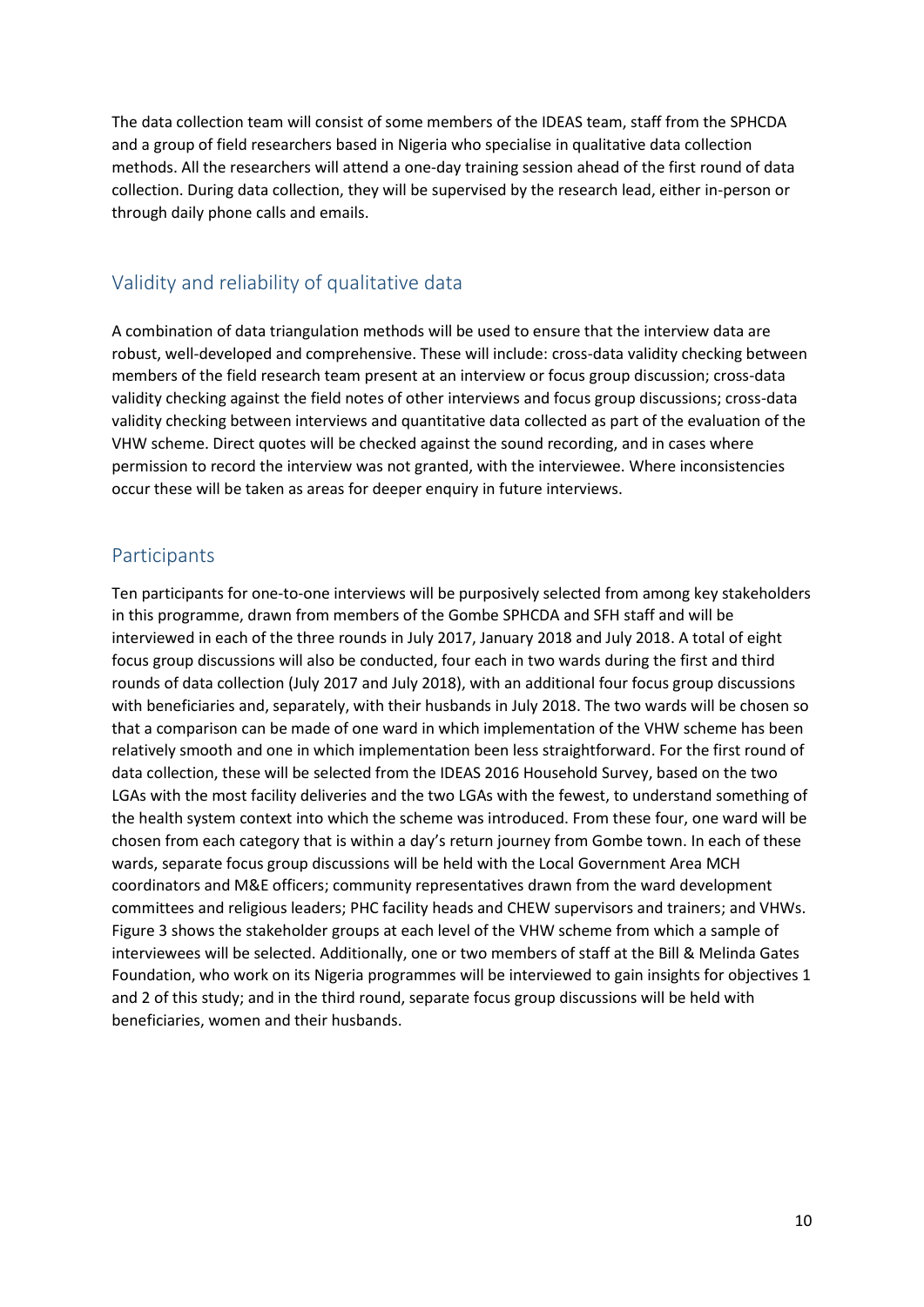The data collection team will consist of some members of the IDEAS team, staff from the SPHCDA and a group of field researchers based in Nigeria who specialise in qualitative data collection methods. All the researchers will attend a one-day training session ahead of the first round of data collection. During data collection, they will be supervised by the research lead, either in-person or through daily phone calls and emails.

## Validity and reliability of qualitative data

A combination of data triangulation methods will be used to ensure that the interview data are robust, well-developed and comprehensive. These will include: cross-data validity checking between members of the field research team present at an interview or focus group discussion; cross-data validity checking against the field notes of other interviews and focus group discussions; cross-data validity checking between interviews and quantitative data collected as part of the evaluation of the VHW scheme. Direct quotes will be checked against the sound recording, and in cases where permission to record the interview was not granted, with the interviewee. Where inconsistencies occur these will be taken as areas for deeper enquiry in future interviews.

## Participants

Ten participants for one-to-one interviews will be purposively selected from among key stakeholders in this programme, drawn from members of the Gombe SPHCDA and SFH staff and will be interviewed in each of the three rounds in July 2017, January 2018 and July 2018. A total of eight focus group discussions will also be conducted, four each in two wards during the first and third rounds of data collection (July 2017 and July 2018), with an additional four focus group discussions with beneficiaries and, separately, with their husbands in July 2018. The two wards will be chosen so that a comparison can be made of one ward in which implementation of the VHW scheme has been relatively smooth and one in which implementation been less straightforward. For the first round of data collection, these will be selected from the IDEAS 2016 Household Survey, based on the two LGAs with the most facility deliveries and the two LGAs with the fewest, to understand something of the health system context into which the scheme was introduced. From these four, one ward will be chosen from each category that is within a day's return journey from Gombe town. In each of these wards, separate focus group discussions will be held with the Local Government Area MCH coordinators and M&E officers; community representatives drawn from the ward development committees and religious leaders; PHC facility heads and CHEW supervisors and trainers; and VHWs. Figure 3 shows the stakeholder groups at each level of the VHW scheme from which a sample of interviewees will be selected. Additionally, one or two members of staff at the Bill & Melinda Gates Foundation, who work on its Nigeria programmes will be interviewed to gain insights for objectives 1 and 2 of this study; and in the third round, separate focus group discussions will be held with beneficiaries, women and their husbands.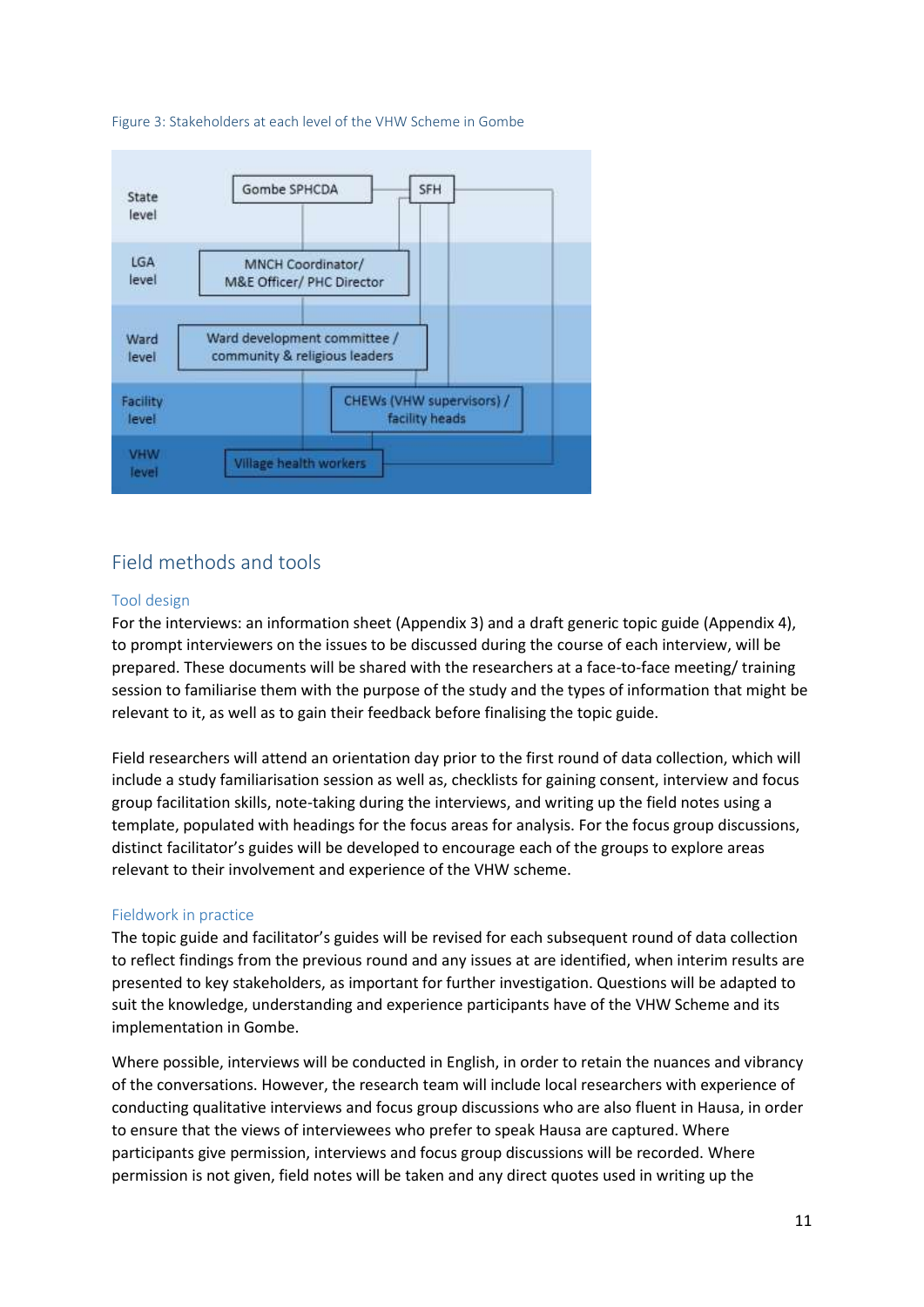



## Field methods and tools

### Tool design

For the interviews: an information sheet (Appendix 3) and a draft generic topic guide (Appendix 4), to prompt interviewers on the issues to be discussed during the course of each interview, will be prepared. These documents will be shared with the researchers at a face-to-face meeting/ training session to familiarise them with the purpose of the study and the types of information that might be relevant to it, as well as to gain their feedback before finalising the topic guide.

Field researchers will attend an orientation day prior to the first round of data collection, which will include a study familiarisation session as well as, checklists for gaining consent, interview and focus group facilitation skills, note-taking during the interviews, and writing up the field notes using a template, populated with headings for the focus areas for analysis. For the focus group discussions, distinct facilitator's guides will be developed to encourage each of the groups to explore areas relevant to their involvement and experience of the VHW scheme.

### Fieldwork in practice

The topic guide and facilitator's guides will be revised for each subsequent round of data collection to reflect findings from the previous round and any issues at are identified, when interim results are presented to key stakeholders, as important for further investigation. Questions will be adapted to suit the knowledge, understanding and experience participants have of the VHW Scheme and its implementation in Gombe.

Where possible, interviews will be conducted in English, in order to retain the nuances and vibrancy of the conversations. However, the research team will include local researchers with experience of conducting qualitative interviews and focus group discussions who are also fluent in Hausa, in order to ensure that the views of interviewees who prefer to speak Hausa are captured. Where participants give permission, interviews and focus group discussions will be recorded. Where permission is not given, field notes will be taken and any direct quotes used in writing up the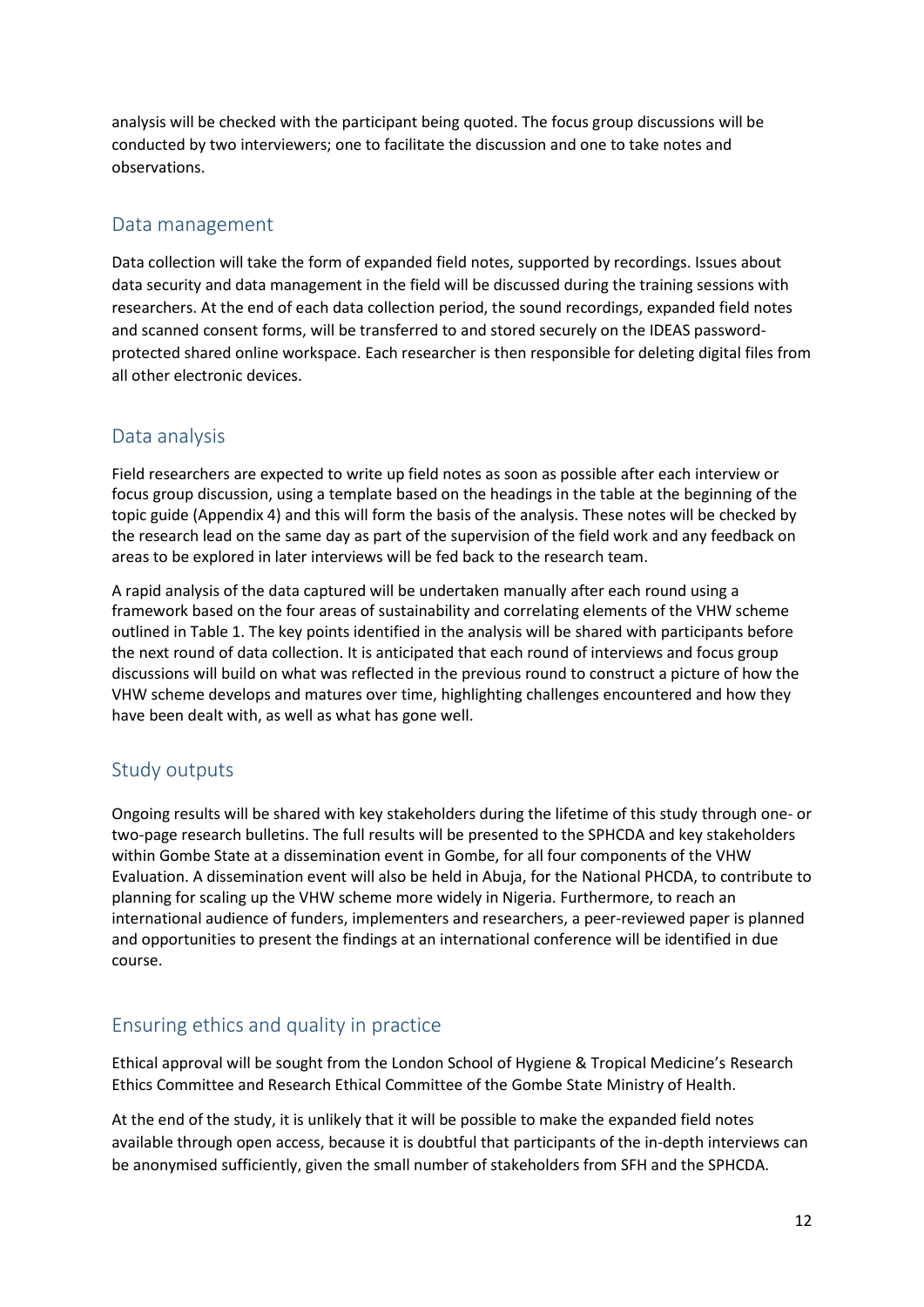analysis will be checked with the participant being quoted. The focus group discussions will be conducted by two interviewers; one to facilitate the discussion and one to take notes and observations.

### Data management

Data collection will take the form of expanded field notes, supported by recordings. Issues about data security and data management in the field will be discussed during the training sessions with researchers. At the end of each data collection period, the sound recordings, expanded field notes and scanned consent forms, will be transferred to and stored securely on the IDEAS passwordprotected shared online workspace. Each researcher is then responsible for deleting digital files from all other electronic devices.

## Data analysis

Field researchers are expected to write up field notes as soon as possible after each interview or focus group discussion, using a template based on the headings in the table at the beginning of the topic guide (Appendix 4) and this will form the basis of the analysis. These notes will be checked by the research lead on the same day as part of the supervision of the field work and any feedback on areas to be explored in later interviews will be fed back to the research team.

A rapid analysis of the data captured will be undertaken manually after each round using a framework based on the four areas of sustainability and correlating elements of the VHW scheme outlined in Table 1. The key points identified in the analysis will be shared with participants before the next round of data collection. It is anticipated that each round of interviews and focus group discussions will build on what was reflected in the previous round to construct a picture of how the VHW scheme develops and matures over time, highlighting challenges encountered and how they have been dealt with, as well as what has gone well.

## Study outputs

Ongoing results will be shared with key stakeholders during the lifetime of this study through one- or two-page research bulletins. The full results will be presented to the SPHCDA and key stakeholders within Gombe State at a dissemination event in Gombe, for all four components of the VHW Evaluation. A dissemination event will also be held in Abuja, for the National PHCDA, to contribute to planning for scaling up the VHW scheme more widely in Nigeria. Furthermore, to reach an international audience of funders, implementers and researchers, a peer-reviewed paper is planned and opportunities to present the findings at an international conference will be identified in due course.

## Ensuring ethics and quality in practice

Ethical approval will be sought from the London School of Hygiene & Tropical Medicine's Research Ethics Committee and Research Ethical Committee of the Gombe State Ministry of Health.

At the end of the study, it is unlikely that it will be possible to make the expanded field notes available through open access, because it is doubtful that participants of the in-depth interviews can be anonymised sufficiently, given the small number of stakeholders from SFH and the SPHCDA.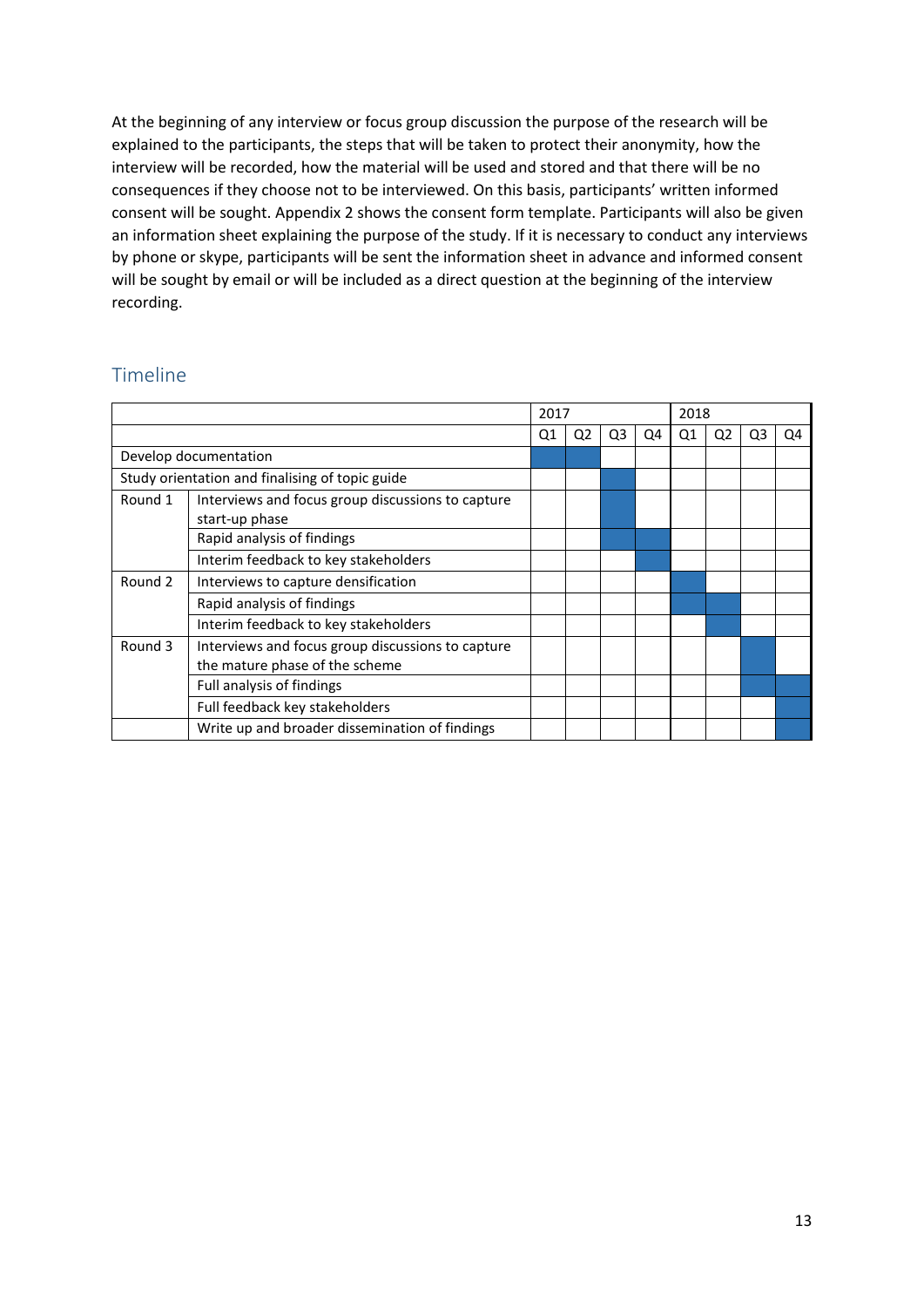At the beginning of any interview or focus group discussion the purpose of the research will be explained to the participants, the steps that will be taken to protect their anonymity, how the interview will be recorded, how the material will be used and stored and that there will be no consequences if they choose not to be interviewed. On this basis, participants' written informed consent will be sought. Appendix 2 shows the consent form template. Participants will also be given an information sheet explaining the purpose of the study. If it is necessary to conduct any interviews by phone or skype, participants will be sent the information sheet in advance and informed consent will be sought by email or will be included as a direct question at the beginning of the interview recording.

## Timeline

|                                                 |                                                   | 2017 |                |                |    | 2018 |    |    |    |
|-------------------------------------------------|---------------------------------------------------|------|----------------|----------------|----|------|----|----|----|
|                                                 |                                                   | Q1   | Q <sub>2</sub> | Q <sub>3</sub> | Q4 | Q1   | Q2 | Q3 | Q4 |
| Develop documentation                           |                                                   |      |                |                |    |      |    |    |    |
| Study orientation and finalising of topic guide |                                                   |      |                |                |    |      |    |    |    |
| Round 1                                         | Interviews and focus group discussions to capture |      |                |                |    |      |    |    |    |
|                                                 | start-up phase                                    |      |                |                |    |      |    |    |    |
|                                                 | Rapid analysis of findings                        |      |                |                |    |      |    |    |    |
|                                                 | Interim feedback to key stakeholders              |      |                |                |    |      |    |    |    |
| Round 2                                         | Interviews to capture densification               |      |                |                |    |      |    |    |    |
|                                                 | Rapid analysis of findings                        |      |                |                |    |      |    |    |    |
|                                                 | Interim feedback to key stakeholders              |      |                |                |    |      |    |    |    |
| Round 3                                         | Interviews and focus group discussions to capture |      |                |                |    |      |    |    |    |
|                                                 | the mature phase of the scheme                    |      |                |                |    |      |    |    |    |
|                                                 | Full analysis of findings                         |      |                |                |    |      |    |    |    |
|                                                 | Full feedback key stakeholders                    |      |                |                |    |      |    |    |    |
|                                                 | Write up and broader dissemination of findings    |      |                |                |    |      |    |    |    |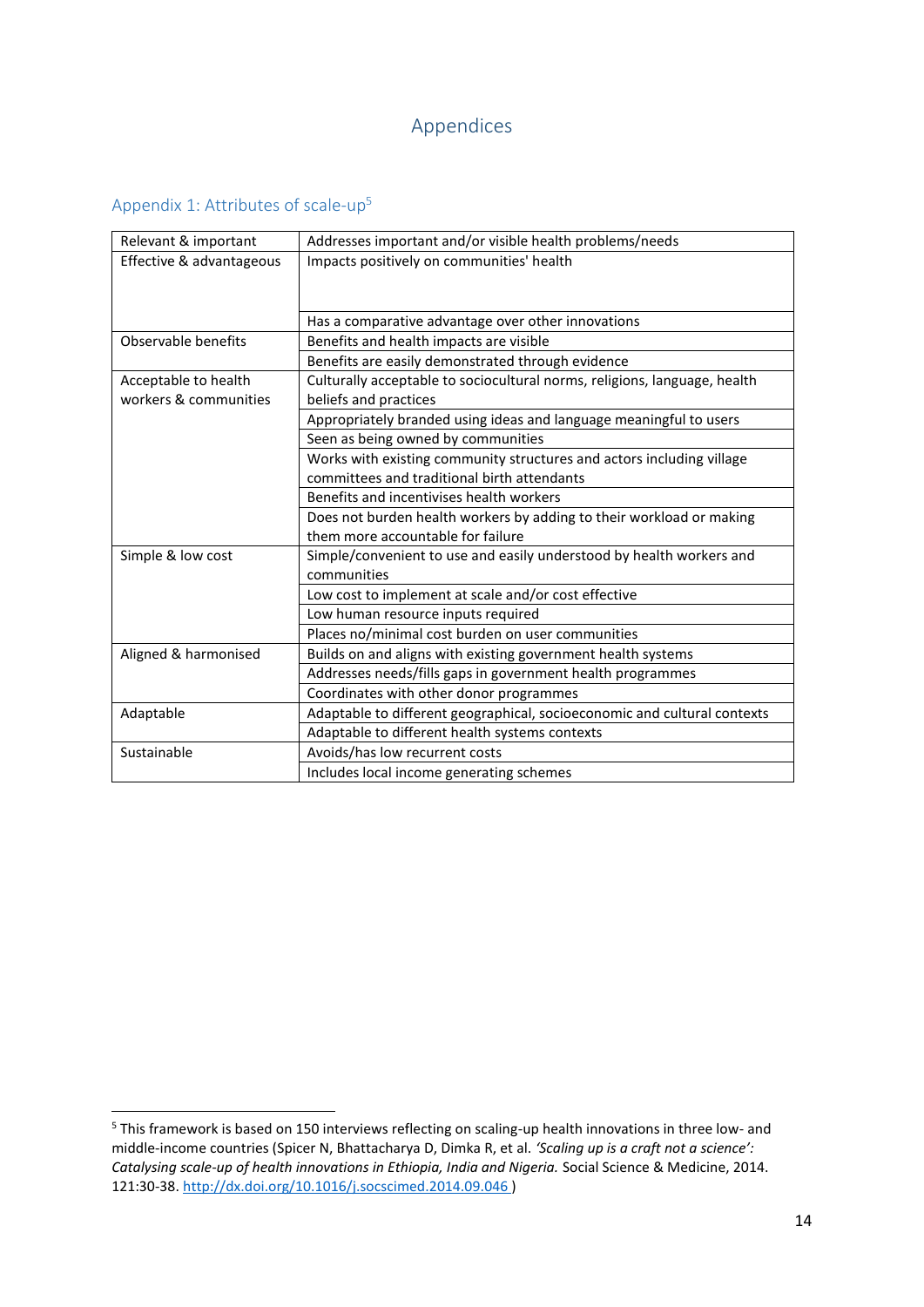## Appendices

## Appendix 1: Attributes of scale-up<sup>5</sup>

1

| Relevant & important     | Addresses important and/or visible health problems/needs                  |
|--------------------------|---------------------------------------------------------------------------|
| Effective & advantageous | Impacts positively on communities' health                                 |
|                          |                                                                           |
|                          |                                                                           |
|                          | Has a comparative advantage over other innovations                        |
| Observable benefits      | Benefits and health impacts are visible                                   |
|                          | Benefits are easily demonstrated through evidence                         |
| Acceptable to health     | Culturally acceptable to sociocultural norms, religions, language, health |
| workers & communities    | beliefs and practices                                                     |
|                          | Appropriately branded using ideas and language meaningful to users        |
|                          | Seen as being owned by communities                                        |
|                          | Works with existing community structures and actors including village     |
|                          | committees and traditional birth attendants                               |
|                          | Benefits and incentivises health workers                                  |
|                          | Does not burden health workers by adding to their workload or making      |
|                          | them more accountable for failure                                         |
| Simple & low cost        | Simple/convenient to use and easily understood by health workers and      |
|                          | communities                                                               |
|                          | Low cost to implement at scale and/or cost effective                      |
|                          | Low human resource inputs required                                        |
|                          | Places no/minimal cost burden on user communities                         |
| Aligned & harmonised     | Builds on and aligns with existing government health systems              |
|                          | Addresses needs/fills gaps in government health programmes                |
|                          | Coordinates with other donor programmes                                   |
| Adaptable                | Adaptable to different geographical, socioeconomic and cultural contexts  |
|                          | Adaptable to different health systems contexts                            |
| Sustainable              | Avoids/has low recurrent costs                                            |
|                          | Includes local income generating schemes                                  |

<sup>5</sup> This framework is based on 150 interviews reflecting on scaling-up health innovations in three low- and middle-income countries (Spicer N, Bhattacharya D, Dimka R, et al. *'Scaling up is a craft not a science': Catalysing scale-up of health innovations in Ethiopia, India and Nigeria.* Social Science & Medicine, 2014. 121:30-38. <http://dx.doi.org/10.1016/j.socscimed.2014.09.046> )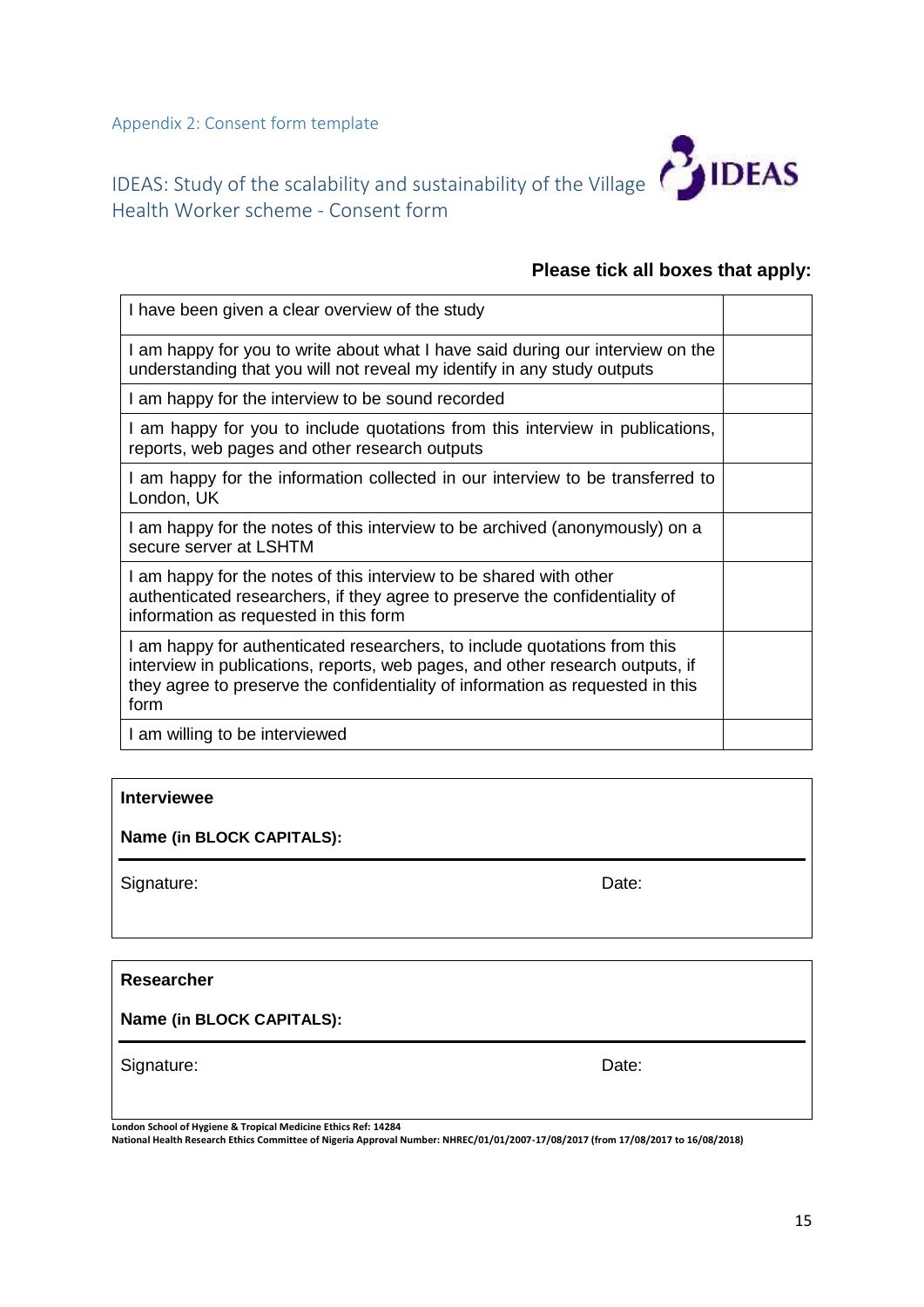Appendix 2: Consent form template



# IDEAS: Study of the scalability and sustainability of the Village Health Worker scheme - Consent form

## **Please tick all boxes that apply:**

| I have been given a clear overview of the study                                                                                                                                                                                                      |  |
|------------------------------------------------------------------------------------------------------------------------------------------------------------------------------------------------------------------------------------------------------|--|
| I am happy for you to write about what I have said during our interview on the<br>understanding that you will not reveal my identify in any study outputs                                                                                            |  |
| I am happy for the interview to be sound recorded                                                                                                                                                                                                    |  |
| I am happy for you to include quotations from this interview in publications,<br>reports, web pages and other research outputs                                                                                                                       |  |
| I am happy for the information collected in our interview to be transferred to<br>London, UK                                                                                                                                                         |  |
| I am happy for the notes of this interview to be archived (anonymously) on a<br>secure server at LSHTM                                                                                                                                               |  |
| I am happy for the notes of this interview to be shared with other<br>authenticated researchers, if they agree to preserve the confidentiality of<br>information as requested in this form                                                           |  |
| I am happy for authenticated researchers, to include quotations from this<br>interview in publications, reports, web pages, and other research outputs, if<br>they agree to preserve the confidentiality of information as requested in this<br>form |  |
| I am willing to be interviewed                                                                                                                                                                                                                       |  |

### **Interviewee**

**Name (in BLOCK CAPITALS):**

Signature: Date: Date: Date: Date: Date: Date: Date: Date: Date: Date: Date: Date: Date: Date: Date: Date: Date: Date: Date: Date: Date: Date: Date: Date: Date: Date: Date: Date: Date: Date: Date: Date: Date: Date: Date: D

**Researcher** 

**Name (in BLOCK CAPITALS):**

Signature: Date: Date: Date: Date: Date: Date: Date: Date: Date: Date: Date: Date: Date: Date: Date: Date: Date: Date: Date: Date: Date: Date: Date: Date: Date: Date: Date: Date: Date: Date: Date: Date: Date: Date: Date: D

**London School of Hygiene & Tropical Medicine Ethics Ref: 14284**

**National Health Research Ethics Committee of Nigeria Approval Number: NHREC/01/01/2007-17/08/2017 (from 17/08/2017 to 16/08/2018)**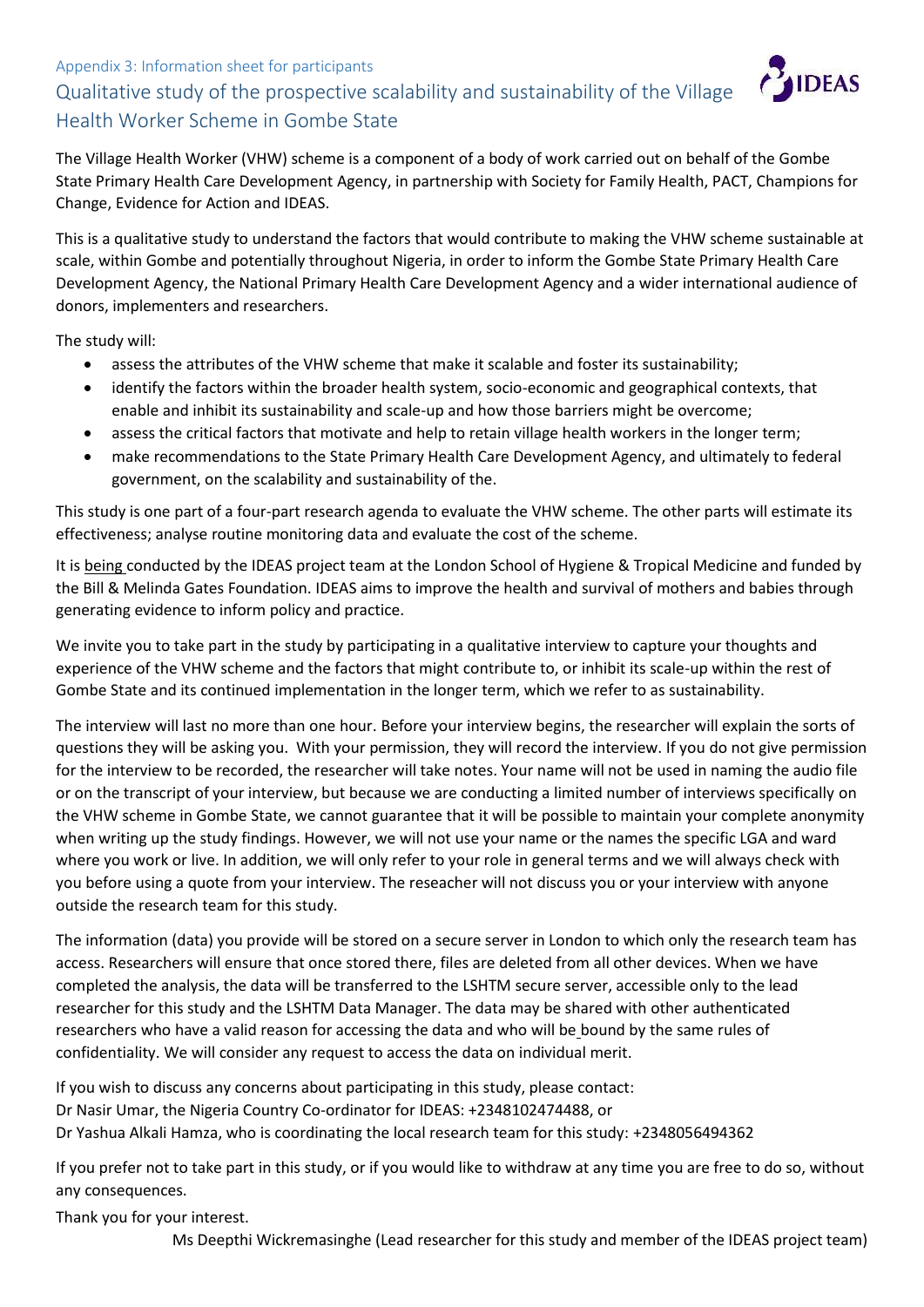## Appendix 3: Information sheet for participants Qualitative study of the prospective scalability and sustainability of the Village Health Worker Scheme in Gombe State



The Village Health Worker (VHW) scheme is a component of a body of work carried out on behalf of the Gombe State Primary Health Care Development Agency, in partnership with Society for Family Health, PACT, Champions for Change, Evidence for Action and IDEAS.

This is a qualitative study to understand the factors that would contribute to making the VHW scheme sustainable at scale, within Gombe and potentially throughout Nigeria, in order to inform the Gombe State Primary Health Care Development Agency, the National Primary Health Care Development Agency and a wider international audience of donors, implementers and researchers.

The study will:

- assess the attributes of the VHW scheme that make it scalable and foster its sustainability;
- identify the factors within the broader health system, socio-economic and geographical contexts, that enable and inhibit its sustainability and scale-up and how those barriers might be overcome;
- assess the critical factors that motivate and help to retain village health workers in the longer term;
- make recommendations to the State Primary Health Care Development Agency, and ultimately to federal government, on the scalability and sustainability of the.

This study is one part of a four-part research agenda to evaluate the VHW scheme. The other parts will estimate its effectiveness; analyse routine monitoring data and evaluate the cost of the scheme.

It is being conducted by the IDEAS project team at the London School of Hygiene & Tropical Medicine and funded by the Bill & Melinda Gates Foundation. IDEAS aims to improve the health and survival of mothers and babies through generating evidence to inform policy and practice.

We invite you to take part in the study by participating in a qualitative interview to capture your thoughts and experience of the VHW scheme and the factors that might contribute to, or inhibit its scale-up within the rest of Gombe State and its continued implementation in the longer term, which we refer to as sustainability.

The interview will last no more than one hour. Before your interview begins, the researcher will explain the sorts of questions they will be asking you. With your permission, they will record the interview. If you do not give permission for the interview to be recorded, the researcher will take notes. Your name will not be used in naming the audio file or on the transcript of your interview, but because we are conducting a limited number of interviews specifically on the VHW scheme in Gombe State, we cannot guarantee that it will be possible to maintain your complete anonymity when writing up the study findings. However, we will not use your name or the names the specific LGA and ward where you work or live. In addition, we will only refer to your role in general terms and we will always check with you before using a quote from your interview. The reseacher will not discuss you or your interview with anyone outside the research team for this study.

The information (data) you provide will be stored on a secure server in London to which only the research team has access. Researchers will ensure that once stored there, files are deleted from all other devices. When we have completed the analysis, the data will be transferred to the LSHTM secure server, accessible only to the lead researcher for this study and the LSHTM Data Manager. The data may be shared with other authenticated researchers who have a valid reason for accessing the data and who will be bound by the same rules of confidentiality. We will consider any request to access the data on individual merit.

If you wish to discuss any concerns about participating in this study, please contact: Dr Nasir Umar, the Nigeria Country Co-ordinator for IDEAS: +2348102474488, or Dr Yashua Alkali Hamza, who is coordinating the local research team for this study: +2348056494362

If you prefer not to take part in this study, or if you would like to withdraw at any time you are free to do so, without any consequences.

Thank you for your interest.

Ms Deepthi Wickremasinghe (Lead researcher for this study and member of the IDEAS project team)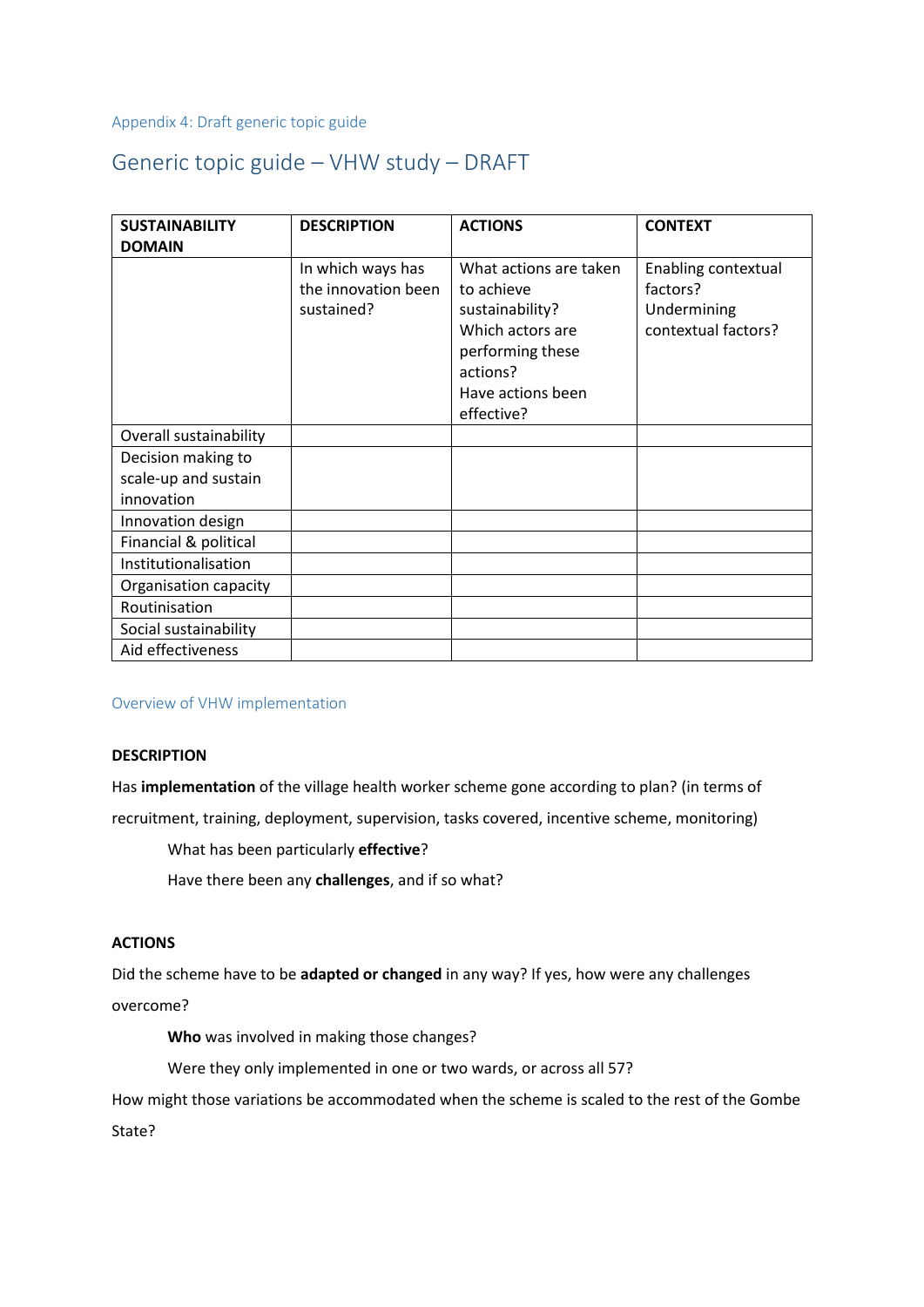Appendix 4: Draft generic topic guide

## Generic topic guide – VHW study – DRAFT

| <b>SUSTAINABILITY</b><br><b>DOMAIN</b> | <b>DESCRIPTION</b>                                     | <b>ACTIONS</b>                                                                                                                                 | <b>CONTEXT</b>                                                        |
|----------------------------------------|--------------------------------------------------------|------------------------------------------------------------------------------------------------------------------------------------------------|-----------------------------------------------------------------------|
|                                        | In which ways has<br>the innovation been<br>sustained? | What actions are taken<br>to achieve<br>sustainability?<br>Which actors are<br>performing these<br>actions?<br>Have actions been<br>effective? | Enabling contextual<br>factors?<br>Undermining<br>contextual factors? |
| Overall sustainability                 |                                                        |                                                                                                                                                |                                                                       |
| Decision making to                     |                                                        |                                                                                                                                                |                                                                       |
| scale-up and sustain                   |                                                        |                                                                                                                                                |                                                                       |
| innovation                             |                                                        |                                                                                                                                                |                                                                       |
| Innovation design                      |                                                        |                                                                                                                                                |                                                                       |
| Financial & political                  |                                                        |                                                                                                                                                |                                                                       |
| Institutionalisation                   |                                                        |                                                                                                                                                |                                                                       |
| Organisation capacity                  |                                                        |                                                                                                                                                |                                                                       |
| Routinisation                          |                                                        |                                                                                                                                                |                                                                       |
| Social sustainability                  |                                                        |                                                                                                                                                |                                                                       |
| Aid effectiveness                      |                                                        |                                                                                                                                                |                                                                       |

Overview of VHW implementation

#### **DESCRIPTION**

Has **implementation** of the village health worker scheme gone according to plan? (in terms of

recruitment, training, deployment, supervision, tasks covered, incentive scheme, monitoring)

What has been particularly **effective**?

Have there been any **challenges**, and if so what?

### **ACTIONS**

Did the scheme have to be **adapted or changed** in any way? If yes, how were any challenges overcome?

**Who** was involved in making those changes?

Were they only implemented in one or two wards, or across all 57?

How might those variations be accommodated when the scheme is scaled to the rest of the Gombe State?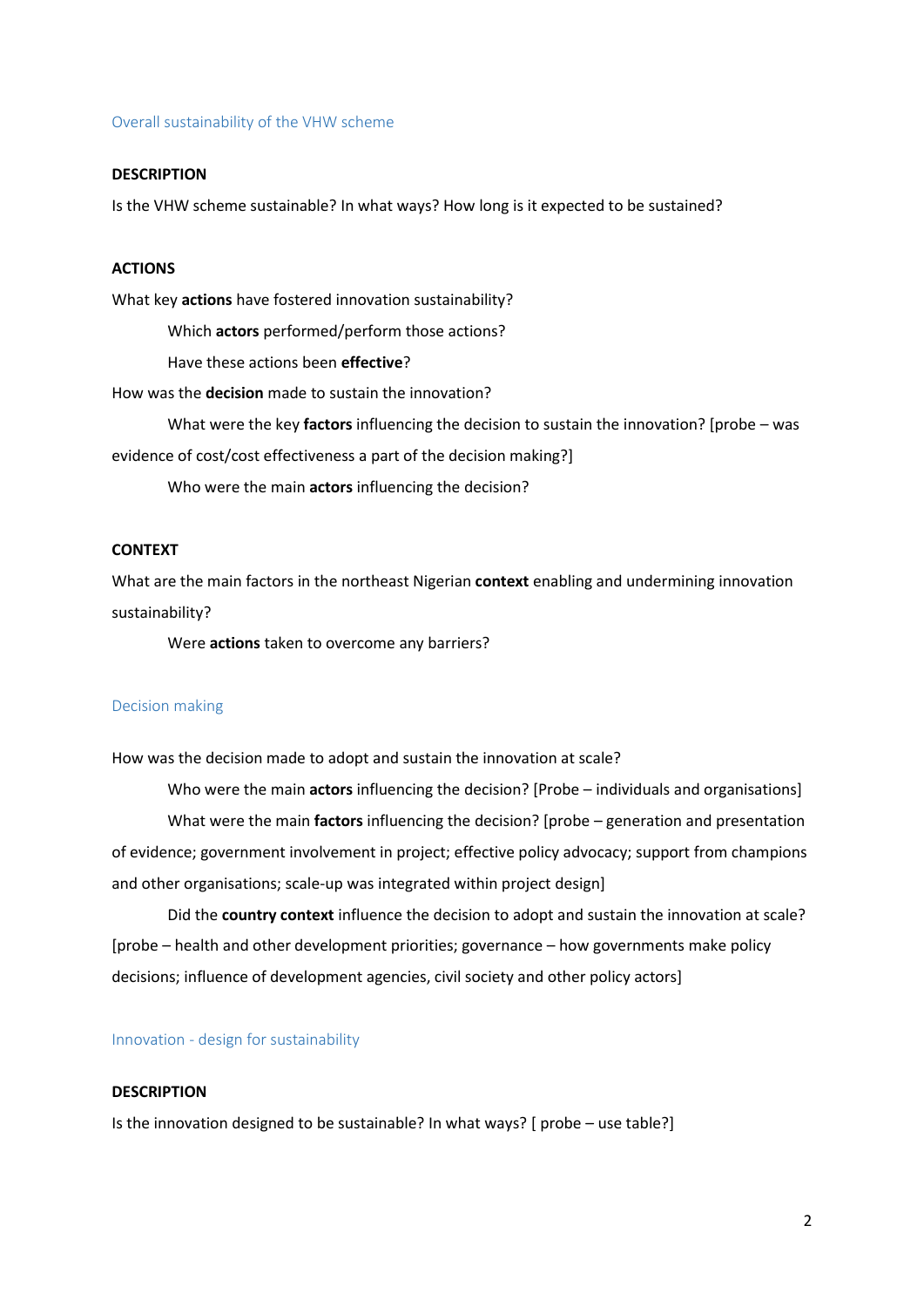#### Overall sustainability of the VHW scheme

#### **DESCRIPTION**

Is the VHW scheme sustainable? In what ways? How long is it expected to be sustained?

#### **ACTIONS**

What key **actions** have fostered innovation sustainability?

Which **actors** performed/perform those actions?

Have these actions been **effective**?

How was the **decision** made to sustain the innovation?

What were the key **factors** influencing the decision to sustain the innovation? [probe – was

evidence of cost/cost effectiveness a part of the decision making?]

Who were the main **actors** influencing the decision?

#### **CONTEXT**

What are the main factors in the northeast Nigerian **context** enabling and undermining innovation sustainability?

Were **actions** taken to overcome any barriers?

#### Decision making

How was the decision made to adopt and sustain the innovation at scale?

Who were the main **actors** influencing the decision? [Probe – individuals and organisations] What were the main **factors** influencing the decision? [probe – generation and presentation of evidence; government involvement in project; effective policy advocacy; support from champions and other organisations; scale-up was integrated within project design]

Did the **country context** influence the decision to adopt and sustain the innovation at scale? [probe – health and other development priorities; governance – how governments make policy decisions; influence of development agencies, civil society and other policy actors]

#### Innovation - design for sustainability

#### **DESCRIPTION**

Is the innovation designed to be sustainable? In what ways? [ probe – use table?]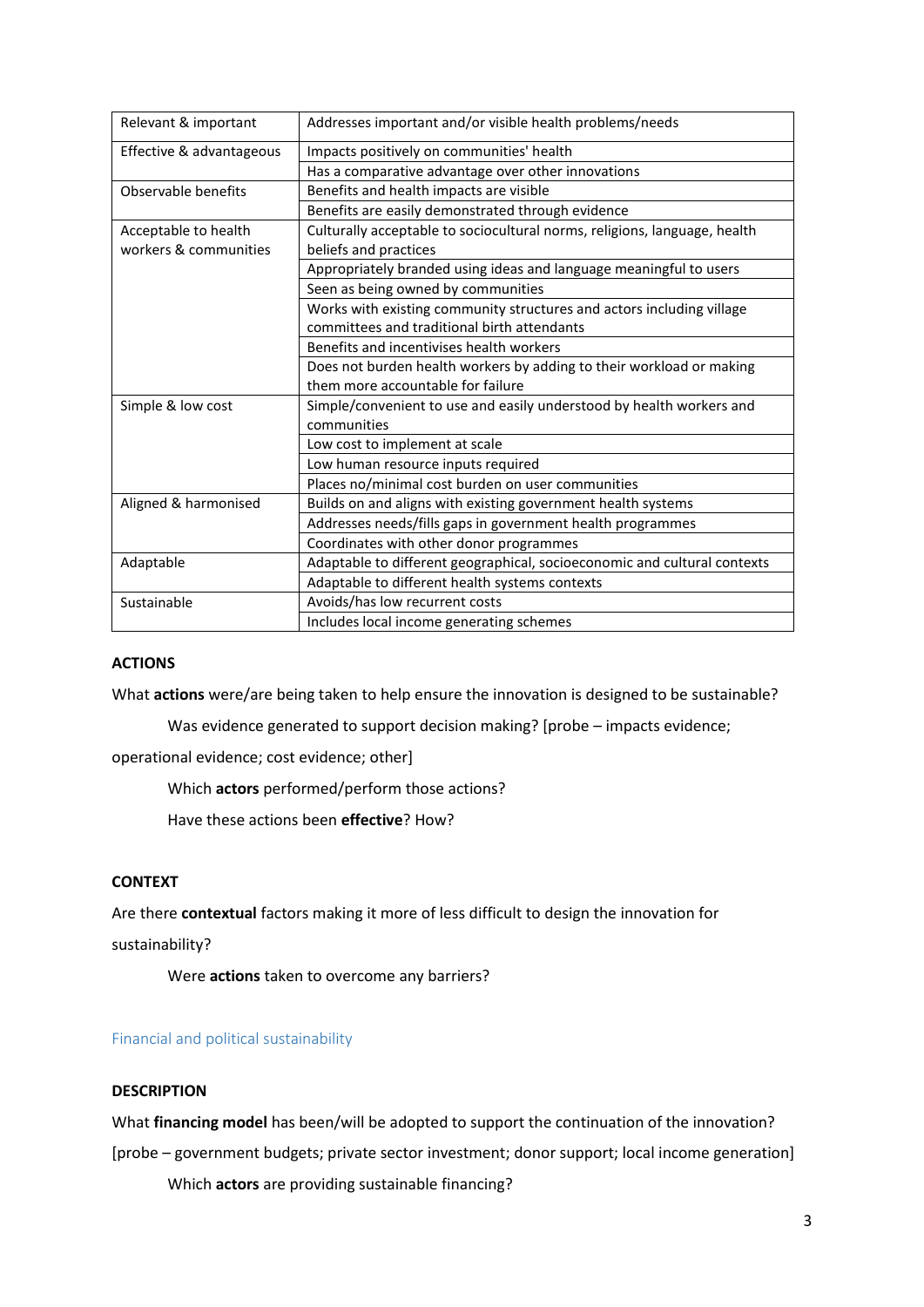| Relevant & important     | Addresses important and/or visible health problems/needs                  |
|--------------------------|---------------------------------------------------------------------------|
| Effective & advantageous | Impacts positively on communities' health                                 |
|                          | Has a comparative advantage over other innovations                        |
| Observable benefits      | Benefits and health impacts are visible                                   |
|                          | Benefits are easily demonstrated through evidence                         |
| Acceptable to health     | Culturally acceptable to sociocultural norms, religions, language, health |
| workers & communities    | beliefs and practices                                                     |
|                          | Appropriately branded using ideas and language meaningful to users        |
|                          | Seen as being owned by communities                                        |
|                          | Works with existing community structures and actors including village     |
|                          | committees and traditional birth attendants                               |
|                          | Benefits and incentivises health workers                                  |
|                          | Does not burden health workers by adding to their workload or making      |
|                          | them more accountable for failure                                         |
| Simple & low cost        | Simple/convenient to use and easily understood by health workers and      |
|                          | communities                                                               |
|                          | Low cost to implement at scale                                            |
|                          | Low human resource inputs required                                        |
|                          | Places no/minimal cost burden on user communities                         |
| Aligned & harmonised     | Builds on and aligns with existing government health systems              |
|                          | Addresses needs/fills gaps in government health programmes                |
|                          | Coordinates with other donor programmes                                   |
| Adaptable                | Adaptable to different geographical, socioeconomic and cultural contexts  |
|                          | Adaptable to different health systems contexts                            |
| Sustainable              | Avoids/has low recurrent costs                                            |
|                          | Includes local income generating schemes                                  |

#### **ACTIONS**

What **actions** were/are being taken to help ensure the innovation is designed to be sustainable?

Was evidence generated to support decision making? [probe – impacts evidence;

operational evidence; cost evidence; other]

Which **actors** performed/perform those actions?

Have these actions been **effective**? How?

#### **CONTEXT**

Are there **contextual** factors making it more of less difficult to design the innovation for

sustainability?

Were **actions** taken to overcome any barriers?

#### Financial and political sustainability

#### **DESCRIPTION**

What **financing model** has been/will be adopted to support the continuation of the innovation?

[probe – government budgets; private sector investment; donor support; local income generation]

Which **actors** are providing sustainable financing?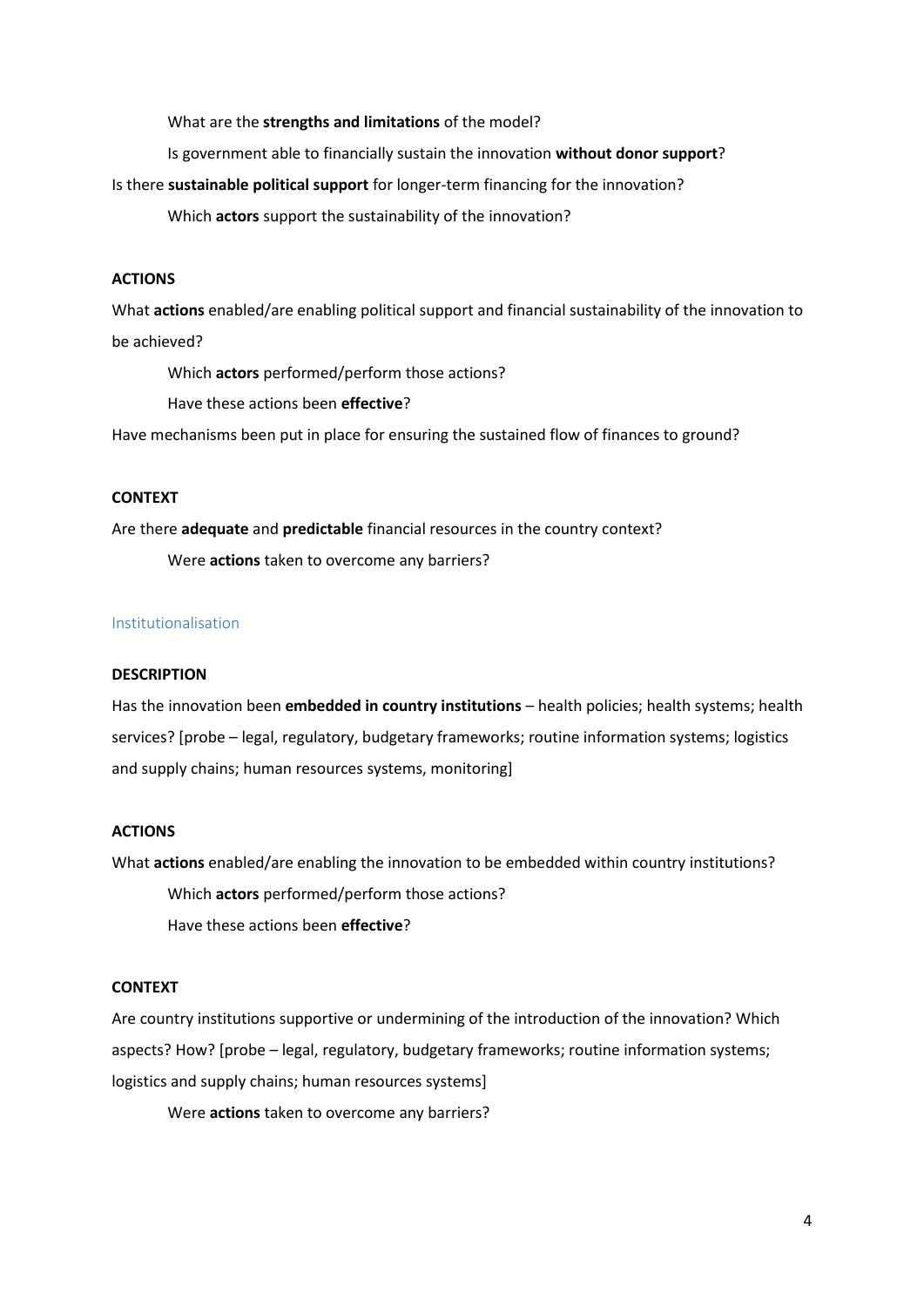What are the **strengths and limitations** of the model?

Is government able to financially sustain the innovation **without donor support**?

Is there **sustainable political support** for longer-term financing for the innovation?

Which **actors** support the sustainability of the innovation?

#### **ACTIONS**

What **actions** enabled/are enabling political support and financial sustainability of the innovation to be achieved?

Which **actors** performed/perform those actions?

Have these actions been **effective**?

Have mechanisms been put in place for ensuring the sustained flow of finances to ground?

#### **CONTEXT**

Are there **adequate** and **predictable** financial resources in the country context?

Were **actions** taken to overcome any barriers?

#### Institutionalisation

#### **DESCRIPTION**

Has the innovation been **embedded in country institutions** – health policies; health systems; health services? [probe – legal, regulatory, budgetary frameworks; routine information systems; logistics and supply chains; human resources systems, monitoring]

#### **ACTIONS**

What **actions** enabled/are enabling the innovation to be embedded within country institutions? Which **actors** performed/perform those actions? Have these actions been **effective**?

#### **CONTEXT**

Are country institutions supportive or undermining of the introduction of the innovation? Which aspects? How? [probe – legal, regulatory, budgetary frameworks; routine information systems; logistics and supply chains; human resources systems]

Were **actions** taken to overcome any barriers?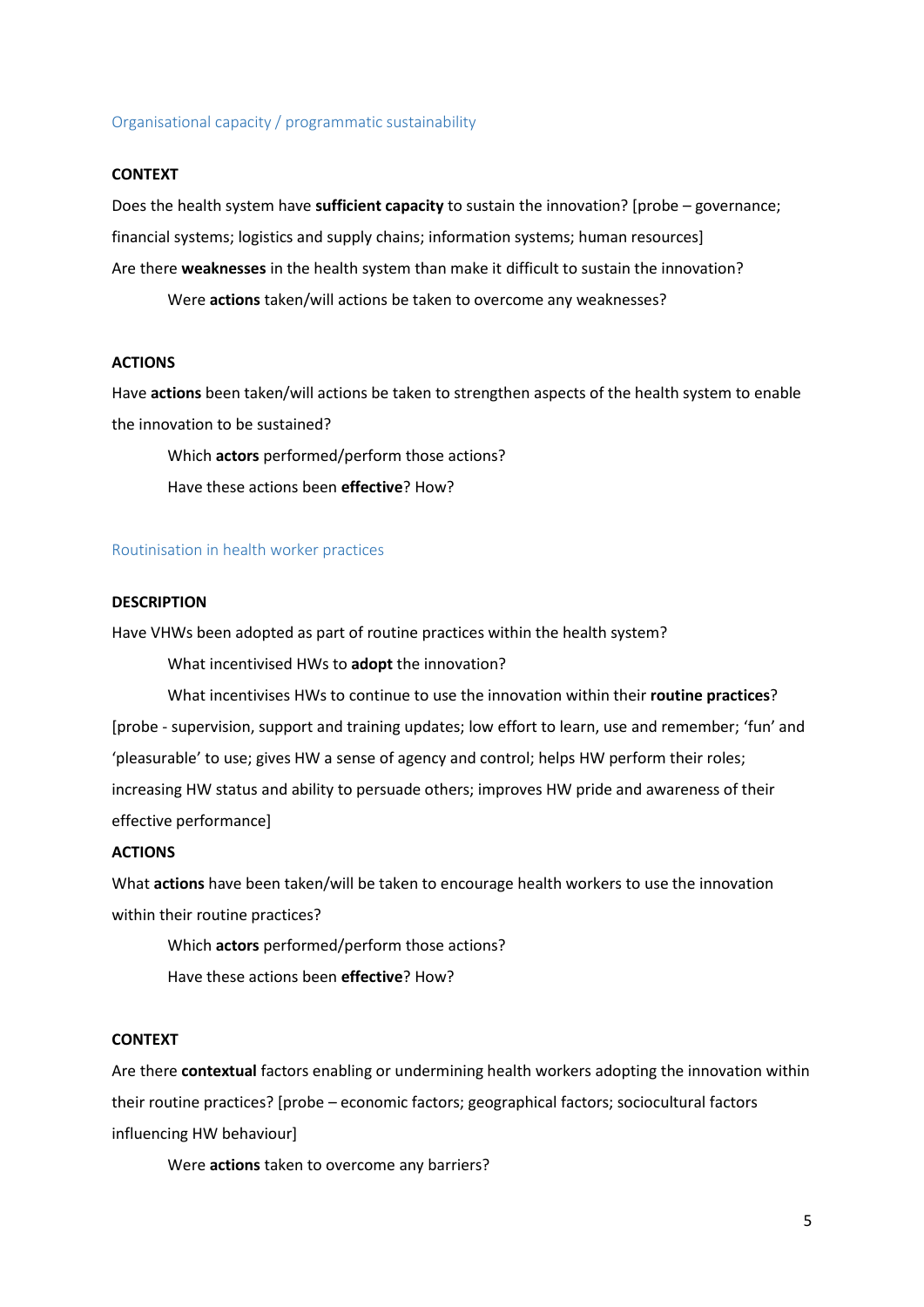#### Organisational capacity / programmatic sustainability

#### **CONTEXT**

Does the health system have **sufficient capacity** to sustain the innovation? [probe – governance; financial systems; logistics and supply chains; information systems; human resources] Are there **weaknesses** in the health system than make it difficult to sustain the innovation? Were **actions** taken/will actions be taken to overcome any weaknesses?

#### **ACTIONS**

Have **actions** been taken/will actions be taken to strengthen aspects of the health system to enable the innovation to be sustained?

Which **actors** performed/perform those actions? Have these actions been **effective**? How?

#### Routinisation in health worker practices

#### **DESCRIPTION**

Have VHWs been adopted as part of routine practices within the health system?

What incentivised HWs to **adopt** the innovation?

What incentivises HWs to continue to use the innovation within their **routine practices**? [probe - supervision, support and training updates; low effort to learn, use and remember; 'fun' and 'pleasurable' to use; gives HW a sense of agency and control; helps HW perform their roles; increasing HW status and ability to persuade others; improves HW pride and awareness of their effective performance]

#### **ACTIONS**

What **actions** have been taken/will be taken to encourage health workers to use the innovation within their routine practices?

Which **actors** performed/perform those actions? Have these actions been **effective**? How?

#### **CONTEXT**

Are there **contextual** factors enabling or undermining health workers adopting the innovation within their routine practices? [probe – economic factors; geographical factors; sociocultural factors influencing HW behaviour]

Were **actions** taken to overcome any barriers?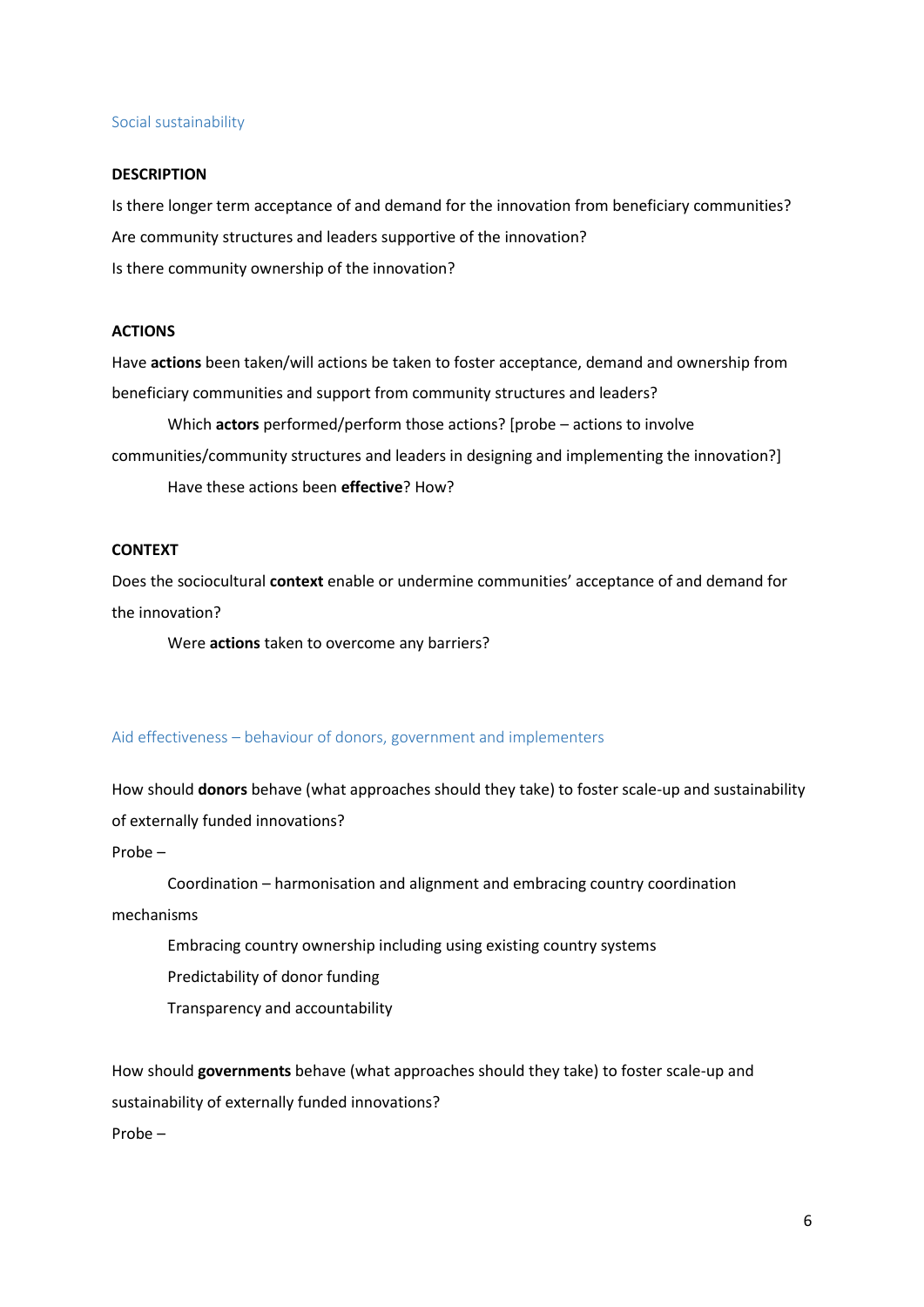#### Social sustainability

#### **DESCRIPTION**

Is there longer term acceptance of and demand for the innovation from beneficiary communities? Are community structures and leaders supportive of the innovation? Is there community ownership of the innovation?

#### **ACTIONS**

Have **actions** been taken/will actions be taken to foster acceptance, demand and ownership from beneficiary communities and support from community structures and leaders?

Which **actors** performed/perform those actions? [probe – actions to involve communities/community structures and leaders in designing and implementing the innovation?] Have these actions been **effective**? How?

#### **CONTEXT**

Does the sociocultural **context** enable or undermine communities' acceptance of and demand for the innovation?

Were **actions** taken to overcome any barriers?

#### Aid effectiveness – behaviour of donors, government and implementers

How should **donors** behave (what approaches should they take) to foster scale-up and sustainability of externally funded innovations?

Probe –

Coordination – harmonisation and alignment and embracing country coordination

mechanisms

Embracing country ownership including using existing country systems

Predictability of donor funding

Transparency and accountability

How should **governments** behave (what approaches should they take) to foster scale-up and sustainability of externally funded innovations?

Probe –